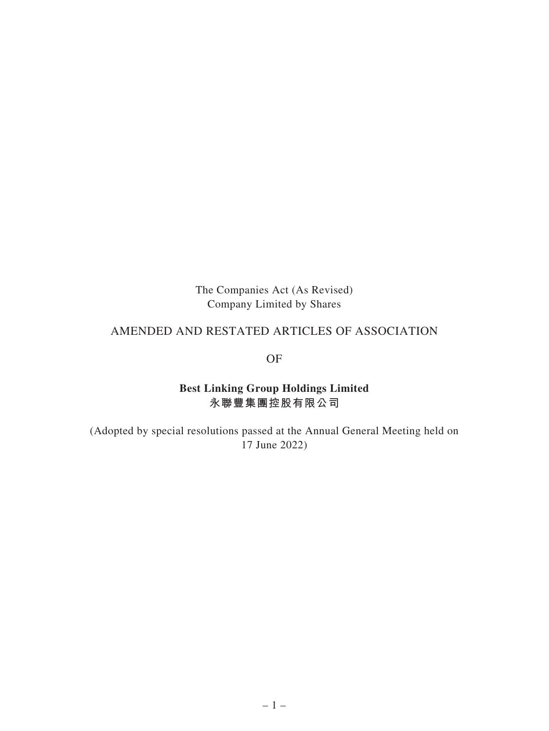The Companies Act (As Revised) Company Limited by Shares

# AMENDED AND RESTATED ARTICLES OF ASSOCIATION

OF

## **Best Linking Group Holdings Limited 永聯豐集團控股有限公司**

(Adopted by special resolutions passed at the Annual General Meeting held on 17 June 2022)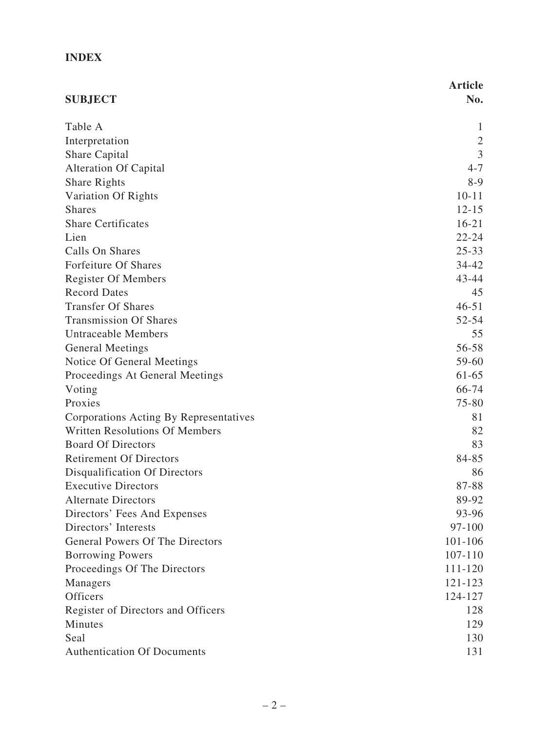# **INDEX**

|                                        | <b>Article</b> |
|----------------------------------------|----------------|
| <b>SUBJECT</b>                         | No.            |
| Table A                                | 1              |
| Interpretation                         | $\overline{2}$ |
| Share Capital                          | 3              |
| <b>Alteration Of Capital</b>           | $4 - 7$        |
| <b>Share Rights</b>                    | $8-9$          |
| Variation Of Rights                    | $10 - 11$      |
| <b>Shares</b>                          | $12 - 15$      |
| <b>Share Certificates</b>              | $16 - 21$      |
| Lien                                   | $22 - 24$      |
| Calls On Shares                        | $25 - 33$      |
| Forfeiture Of Shares                   | $34 - 42$      |
| <b>Register Of Members</b>             | $43 - 44$      |
| <b>Record Dates</b>                    | 45             |
| <b>Transfer Of Shares</b>              | $46 - 51$      |
| <b>Transmission Of Shares</b>          | $52 - 54$      |
| <b>Untraceable Members</b>             | 55             |
| <b>General Meetings</b>                | 56-58          |
| Notice Of General Meetings             | 59-60          |
| Proceedings At General Meetings        | $61 - 65$      |
| Voting                                 | 66-74          |
| Proxies                                | 75-80          |
| Corporations Acting By Representatives | 81             |
| <b>Written Resolutions Of Members</b>  | 82             |
| <b>Board Of Directors</b>              | 83             |
| <b>Retirement Of Directors</b>         | 84-85          |
| Disqualification Of Directors          | 86             |
| <b>Executive Directors</b>             | 87-88          |
| <b>Alternate Directors</b>             | 89-92          |
| Directors' Fees And Expenses           | 93-96          |
| Directors' Interests                   | 97-100         |
| General Powers Of The Directors        | 101-106        |
| <b>Borrowing Powers</b>                | 107-110        |
| Proceedings Of The Directors           | 111-120        |
| Managers                               | 121-123        |
| <b>Officers</b>                        | 124-127        |
| Register of Directors and Officers     | 128            |
| Minutes                                | 129            |
| Seal                                   | 130            |
| <b>Authentication Of Documents</b>     | 131            |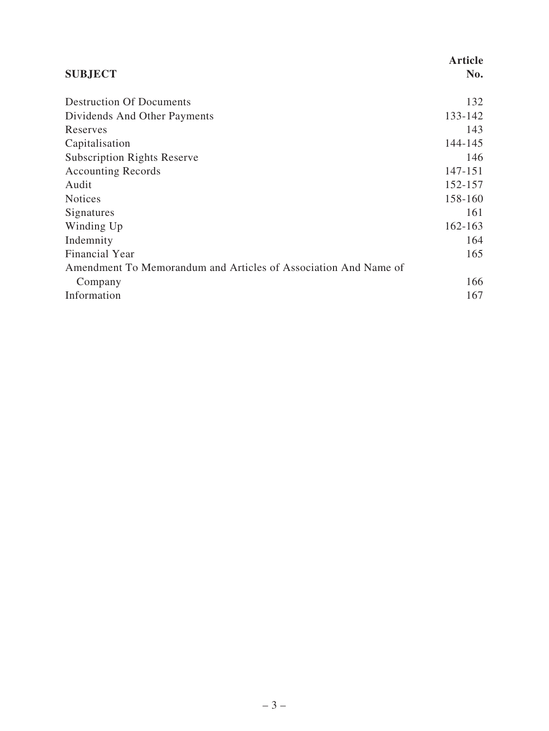|                                                                 | <b>Article</b> |
|-----------------------------------------------------------------|----------------|
| <b>SUBJECT</b>                                                  | No.            |
| <b>Destruction Of Documents</b>                                 | 132            |
| Dividends And Other Payments                                    | 133-142        |
| Reserves                                                        | 143            |
| Capitalisation                                                  | 144-145        |
| <b>Subscription Rights Reserve</b>                              | 146            |
| <b>Accounting Records</b>                                       | 147-151        |
| Audit                                                           | 152-157        |
| <b>Notices</b>                                                  | 158-160        |
| Signatures                                                      | 161            |
| Winding Up                                                      | $162 - 163$    |
| Indemnity                                                       | 164            |
| Financial Year                                                  | 165            |
| Amendment To Memorandum and Articles of Association And Name of |                |
| Company                                                         | 166            |
| Information                                                     | 167            |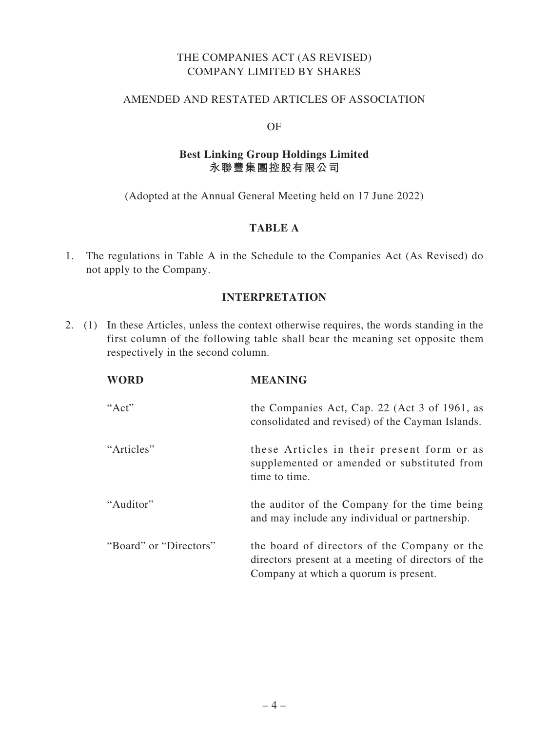## THE COMPANIES ACT (AS REVISED) COMPANY LIMITED BY SHARES

#### AMENDED AND RESTATED ARTICLES OF ASSOCIATION

#### OF

#### **Best Linking Group Holdings Limited 永聯豐集團控股有限公司**

(Adopted at the Annual General Meeting held on 17 June 2022)

## **TABLE A**

1. The regulations in Table A in the Schedule to the Companies Act (As Revised) do not apply to the Company.

### **INTERPRETATION**

2. (1) In these Articles, unless the context otherwise requires, the words standing in the first column of the following table shall bear the meaning set opposite them respectively in the second column.

| <b>WORD</b>            | <b>MEANING</b>                                                                                                                              |
|------------------------|---------------------------------------------------------------------------------------------------------------------------------------------|
| " $Act"$               | the Companies Act, Cap. 22 (Act 3 of 1961, as<br>consolidated and revised) of the Cayman Islands.                                           |
| "Articles"             | these Articles in their present form or as<br>supplemented or amended or substituted from<br>time to time.                                  |
| "Auditor"              | the auditor of the Company for the time being<br>and may include any individual or partnership.                                             |
| "Board" or "Directors" | the board of directors of the Company or the<br>directors present at a meeting of directors of the<br>Company at which a quorum is present. |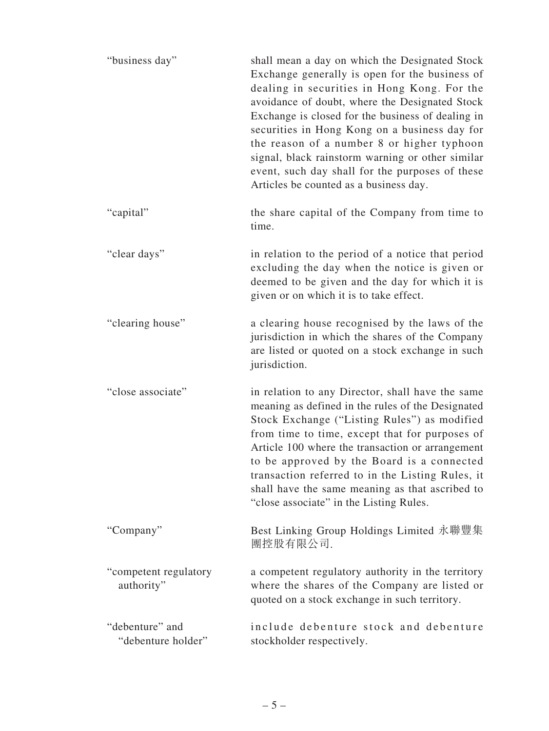| "business day"                        | shall mean a day on which the Designated Stock<br>Exchange generally is open for the business of<br>dealing in securities in Hong Kong. For the<br>avoidance of doubt, where the Designated Stock<br>Exchange is closed for the business of dealing in<br>securities in Hong Kong on a business day for<br>the reason of a number 8 or higher typhoon<br>signal, black rainstorm warning or other similar<br>event, such day shall for the purposes of these<br>Articles be counted as a business day. |
|---------------------------------------|--------------------------------------------------------------------------------------------------------------------------------------------------------------------------------------------------------------------------------------------------------------------------------------------------------------------------------------------------------------------------------------------------------------------------------------------------------------------------------------------------------|
| "capital"                             | the share capital of the Company from time to<br>time.                                                                                                                                                                                                                                                                                                                                                                                                                                                 |
| "clear days"                          | in relation to the period of a notice that period<br>excluding the day when the notice is given or<br>deemed to be given and the day for which it is<br>given or on which it is to take effect.                                                                                                                                                                                                                                                                                                        |
| "clearing house"                      | a clearing house recognised by the laws of the<br>jurisdiction in which the shares of the Company<br>are listed or quoted on a stock exchange in such<br>jurisdiction.                                                                                                                                                                                                                                                                                                                                 |
| "close associate"                     | in relation to any Director, shall have the same<br>meaning as defined in the rules of the Designated<br>Stock Exchange ("Listing Rules") as modified<br>from time to time, except that for purposes of<br>Article 100 where the transaction or arrangement<br>to be approved by the Board is a connected<br>transaction referred to in the Listing Rules, it<br>shall have the same meaning as that ascribed to<br>"close associate" in the Listing Rules.                                            |
| "Company"                             | Best Linking Group Holdings Limited 永聯豐集<br>團控股有限公司.                                                                                                                                                                                                                                                                                                                                                                                                                                                   |
| "competent regulatory<br>authority"   | a competent regulatory authority in the territory<br>where the shares of the Company are listed or<br>quoted on a stock exchange in such territory.                                                                                                                                                                                                                                                                                                                                                    |
| "debenture" and<br>"debenture holder" | include debenture stock and debenture<br>stockholder respectively.                                                                                                                                                                                                                                                                                                                                                                                                                                     |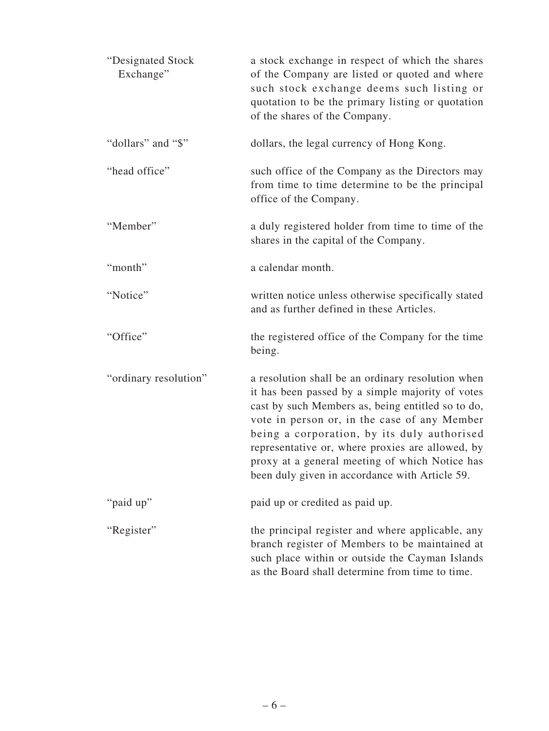| "Designated Stock<br>Exchange" | a stock exchange in respect of which the shares<br>of the Company are listed or quoted and where<br>such stock exchange deems such listing or<br>quotation to be the primary listing or quotation<br>of the shares of the Company.                                                                                                                                                                                |
|--------------------------------|-------------------------------------------------------------------------------------------------------------------------------------------------------------------------------------------------------------------------------------------------------------------------------------------------------------------------------------------------------------------------------------------------------------------|
| "dollars" and "\$"             | dollars, the legal currency of Hong Kong.                                                                                                                                                                                                                                                                                                                                                                         |
| "head office"                  | such office of the Company as the Directors may<br>from time to time determine to be the principal<br>office of the Company.                                                                                                                                                                                                                                                                                      |
| "Member"                       | a duly registered holder from time to time of the<br>shares in the capital of the Company.                                                                                                                                                                                                                                                                                                                        |
| "month"                        | a calendar month.                                                                                                                                                                                                                                                                                                                                                                                                 |
| "Notice"                       | written notice unless otherwise specifically stated<br>and as further defined in these Articles.                                                                                                                                                                                                                                                                                                                  |
| "Office"                       | the registered office of the Company for the time<br>being.                                                                                                                                                                                                                                                                                                                                                       |
| "ordinary resolution"          | a resolution shall be an ordinary resolution when<br>it has been passed by a simple majority of votes<br>cast by such Members as, being entitled so to do,<br>vote in person or, in the case of any Member<br>being a corporation, by its duly authorised<br>representative or, where proxies are allowed, by<br>proxy at a general meeting of which Notice has<br>been duly given in accordance with Article 59. |
| "paid up"                      | paid up or credited as paid up.                                                                                                                                                                                                                                                                                                                                                                                   |
| "Register"                     | the principal register and where applicable, any<br>branch register of Members to be maintained at<br>such place within or outside the Cayman Islands<br>as the Board shall determine from time to time.                                                                                                                                                                                                          |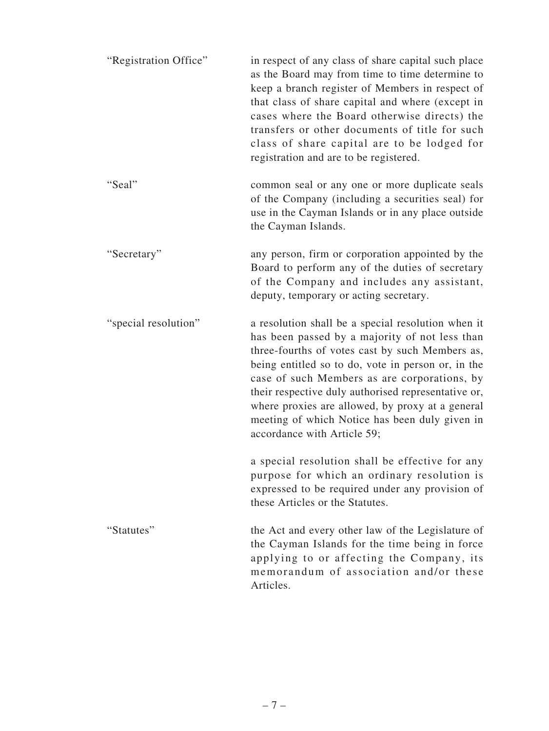| "Registration Office" | in respect of any class of share capital such place<br>as the Board may from time to time determine to<br>keep a branch register of Members in respect of<br>that class of share capital and where (except in<br>cases where the Board otherwise directs) the<br>transfers or other documents of title for such<br>class of share capital are to be lodged for<br>registration and are to be registered.                                                  |
|-----------------------|-----------------------------------------------------------------------------------------------------------------------------------------------------------------------------------------------------------------------------------------------------------------------------------------------------------------------------------------------------------------------------------------------------------------------------------------------------------|
| "Seal"                | common seal or any one or more duplicate seals<br>of the Company (including a securities seal) for<br>use in the Cayman Islands or in any place outside<br>the Cayman Islands.                                                                                                                                                                                                                                                                            |
| "Secretary"           | any person, firm or corporation appointed by the<br>Board to perform any of the duties of secretary<br>of the Company and includes any assistant,<br>deputy, temporary or acting secretary.                                                                                                                                                                                                                                                               |
| "special resolution"  | a resolution shall be a special resolution when it<br>has been passed by a majority of not less than<br>three-fourths of votes cast by such Members as,<br>being entitled so to do, vote in person or, in the<br>case of such Members as are corporations, by<br>their respective duly authorised representative or,<br>where proxies are allowed, by proxy at a general<br>meeting of which Notice has been duly given in<br>accordance with Article 59; |
|                       | a special resolution shall be effective for any<br>purpose for which an ordinary resolution is<br>expressed to be required under any provision of<br>these Articles or the Statutes.                                                                                                                                                                                                                                                                      |
| "Statutes"            | the Act and every other law of the Legislature of<br>the Cayman Islands for the time being in force<br>applying to or affecting the Company, its<br>memorandum of association and/or these<br>Articles.                                                                                                                                                                                                                                                   |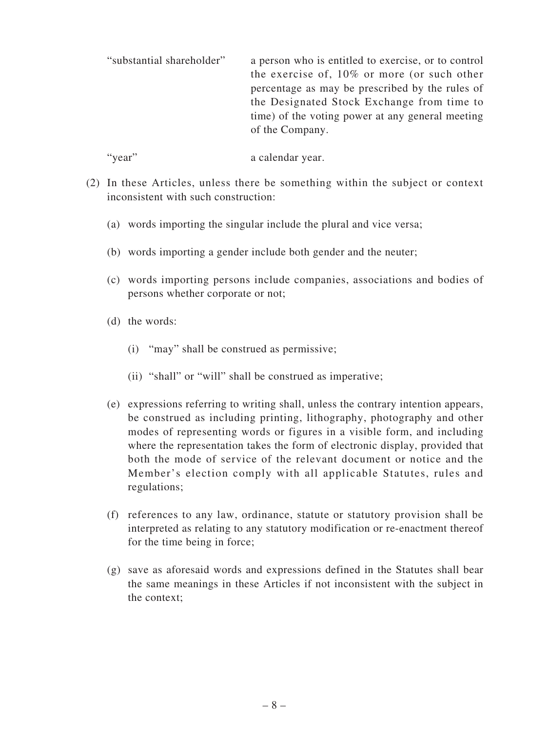"substantial shareholder" a person who is entitled to exercise, or to control the exercise of, 10% or more (or such other percentage as may be prescribed by the rules of the Designated Stock Exchange from time to time) of the voting power at any general meeting of the Company.

"year" a calendar year.

- (2) In these Articles, unless there be something within the subject or context inconsistent with such construction:
	- (a) words importing the singular include the plural and vice versa;
	- (b) words importing a gender include both gender and the neuter;
	- (c) words importing persons include companies, associations and bodies of persons whether corporate or not;
	- (d) the words:
		- (i) "may" shall be construed as permissive;
		- (ii) "shall" or "will" shall be construed as imperative;
	- (e) expressions referring to writing shall, unless the contrary intention appears, be construed as including printing, lithography, photography and other modes of representing words or figures in a visible form, and including where the representation takes the form of electronic display, provided that both the mode of service of the relevant document or notice and the Member's election comply with all applicable Statutes, rules and regulations;
	- (f) references to any law, ordinance, statute or statutory provision shall be interpreted as relating to any statutory modification or re-enactment thereof for the time being in force;
	- (g) save as aforesaid words and expressions defined in the Statutes shall bear the same meanings in these Articles if not inconsistent with the subject in the context;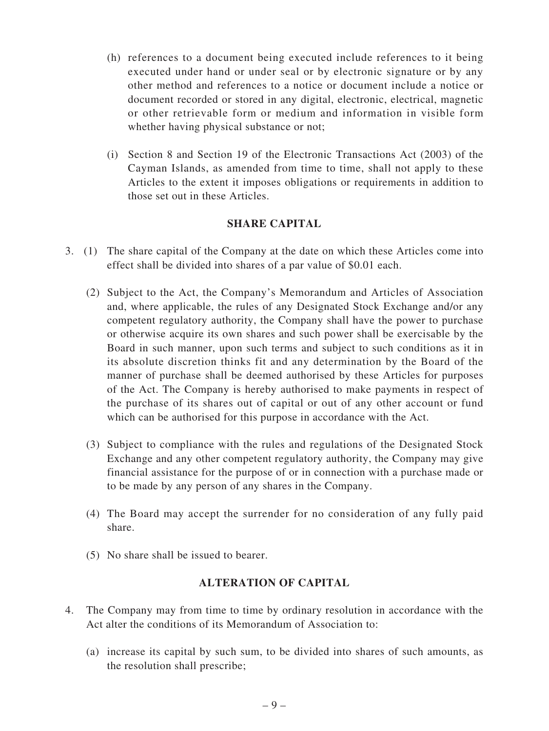- (h) references to a document being executed include references to it being executed under hand or under seal or by electronic signature or by any other method and references to a notice or document include a notice or document recorded or stored in any digital, electronic, electrical, magnetic or other retrievable form or medium and information in visible form whether having physical substance or not;
- (i) Section 8 and Section 19 of the Electronic Transactions Act (2003) of the Cayman Islands, as amended from time to time, shall not apply to these Articles to the extent it imposes obligations or requirements in addition to those set out in these Articles.

### **SHARE CAPITAL**

- 3. (1) The share capital of the Company at the date on which these Articles come into effect shall be divided into shares of a par value of \$0.01 each.
	- (2) Subject to the Act, the Company's Memorandum and Articles of Association and, where applicable, the rules of any Designated Stock Exchange and/or any competent regulatory authority, the Company shall have the power to purchase or otherwise acquire its own shares and such power shall be exercisable by the Board in such manner, upon such terms and subject to such conditions as it in its absolute discretion thinks fit and any determination by the Board of the manner of purchase shall be deemed authorised by these Articles for purposes of the Act. The Company is hereby authorised to make payments in respect of the purchase of its shares out of capital or out of any other account or fund which can be authorised for this purpose in accordance with the Act.
	- (3) Subject to compliance with the rules and regulations of the Designated Stock Exchange and any other competent regulatory authority, the Company may give financial assistance for the purpose of or in connection with a purchase made or to be made by any person of any shares in the Company.
	- (4) The Board may accept the surrender for no consideration of any fully paid share.
	- (5) No share shall be issued to bearer.

## **ALTERATION OF CAPITAL**

- 4. The Company may from time to time by ordinary resolution in accordance with the Act alter the conditions of its Memorandum of Association to:
	- (a) increase its capital by such sum, to be divided into shares of such amounts, as the resolution shall prescribe;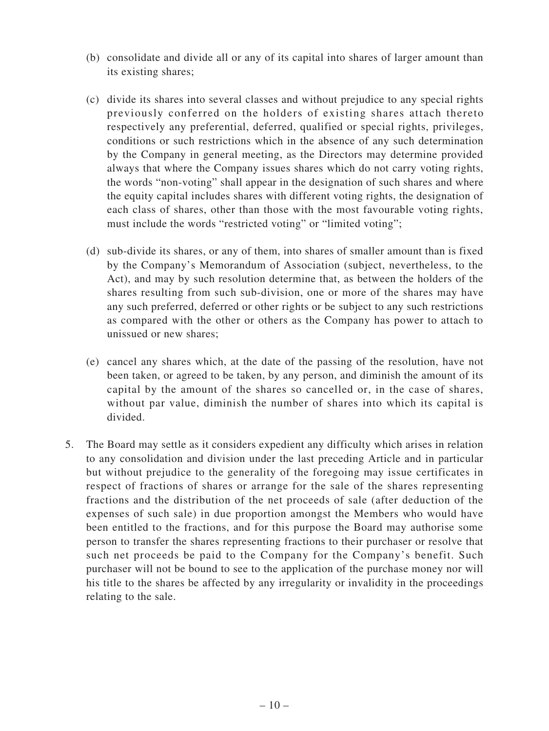- (b) consolidate and divide all or any of its capital into shares of larger amount than its existing shares;
- (c) divide its shares into several classes and without prejudice to any special rights previously conferred on the holders of existing shares attach thereto respectively any preferential, deferred, qualified or special rights, privileges, conditions or such restrictions which in the absence of any such determination by the Company in general meeting, as the Directors may determine provided always that where the Company issues shares which do not carry voting rights, the words "non-voting" shall appear in the designation of such shares and where the equity capital includes shares with different voting rights, the designation of each class of shares, other than those with the most favourable voting rights, must include the words "restricted voting" or "limited voting";
- (d) sub-divide its shares, or any of them, into shares of smaller amount than is fixed by the Company's Memorandum of Association (subject, nevertheless, to the Act), and may by such resolution determine that, as between the holders of the shares resulting from such sub-division, one or more of the shares may have any such preferred, deferred or other rights or be subject to any such restrictions as compared with the other or others as the Company has power to attach to unissued or new shares;
- (e) cancel any shares which, at the date of the passing of the resolution, have not been taken, or agreed to be taken, by any person, and diminish the amount of its capital by the amount of the shares so cancelled or, in the case of shares, without par value, diminish the number of shares into which its capital is divided.
- 5. The Board may settle as it considers expedient any difficulty which arises in relation to any consolidation and division under the last preceding Article and in particular but without prejudice to the generality of the foregoing may issue certificates in respect of fractions of shares or arrange for the sale of the shares representing fractions and the distribution of the net proceeds of sale (after deduction of the expenses of such sale) in due proportion amongst the Members who would have been entitled to the fractions, and for this purpose the Board may authorise some person to transfer the shares representing fractions to their purchaser or resolve that such net proceeds be paid to the Company for the Company's benefit. Such purchaser will not be bound to see to the application of the purchase money nor will his title to the shares be affected by any irregularity or invalidity in the proceedings relating to the sale.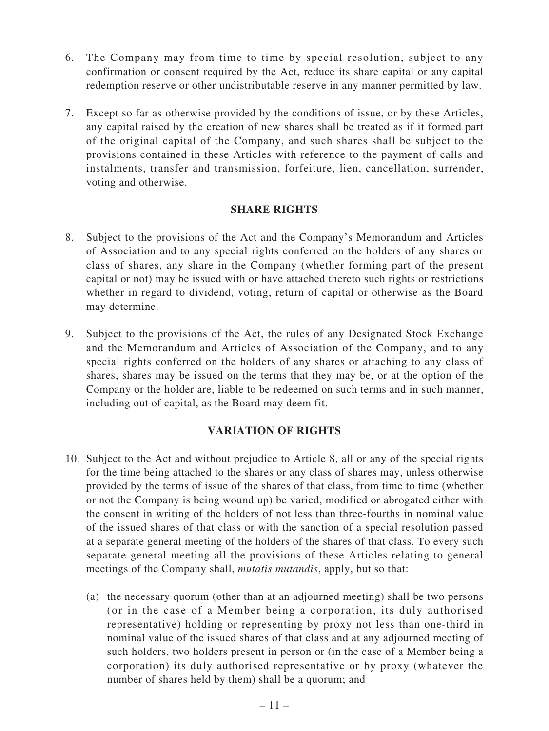- 6. The Company may from time to time by special resolution, subject to any confirmation or consent required by the Act, reduce its share capital or any capital redemption reserve or other undistributable reserve in any manner permitted by law.
- 7. Except so far as otherwise provided by the conditions of issue, or by these Articles, any capital raised by the creation of new shares shall be treated as if it formed part of the original capital of the Company, and such shares shall be subject to the provisions contained in these Articles with reference to the payment of calls and instalments, transfer and transmission, forfeiture, lien, cancellation, surrender, voting and otherwise.

## **SHARE RIGHTS**

- 8. Subject to the provisions of the Act and the Company's Memorandum and Articles of Association and to any special rights conferred on the holders of any shares or class of shares, any share in the Company (whether forming part of the present capital or not) may be issued with or have attached thereto such rights or restrictions whether in regard to dividend, voting, return of capital or otherwise as the Board may determine.
- 9. Subject to the provisions of the Act, the rules of any Designated Stock Exchange and the Memorandum and Articles of Association of the Company, and to any special rights conferred on the holders of any shares or attaching to any class of shares, shares may be issued on the terms that they may be, or at the option of the Company or the holder are, liable to be redeemed on such terms and in such manner, including out of capital, as the Board may deem fit.

## **VARIATION OF RIGHTS**

- 10. Subject to the Act and without prejudice to Article 8, all or any of the special rights for the time being attached to the shares or any class of shares may, unless otherwise provided by the terms of issue of the shares of that class, from time to time (whether or not the Company is being wound up) be varied, modified or abrogated either with the consent in writing of the holders of not less than three-fourths in nominal value of the issued shares of that class or with the sanction of a special resolution passed at a separate general meeting of the holders of the shares of that class. To every such separate general meeting all the provisions of these Articles relating to general meetings of the Company shall, *mutatis mutandis*, apply, but so that:
	- (a) the necessary quorum (other than at an adjourned meeting) shall be two persons (or in the case of a Member being a corporation, its duly authorised representative) holding or representing by proxy not less than one-third in nominal value of the issued shares of that class and at any adjourned meeting of such holders, two holders present in person or (in the case of a Member being a corporation) its duly authorised representative or by proxy (whatever the number of shares held by them) shall be a quorum; and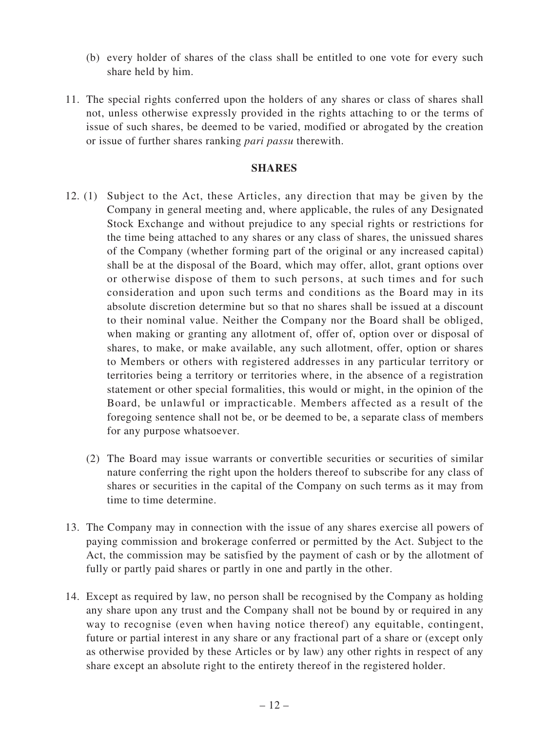- (b) every holder of shares of the class shall be entitled to one vote for every such share held by him.
- 11. The special rights conferred upon the holders of any shares or class of shares shall not, unless otherwise expressly provided in the rights attaching to or the terms of issue of such shares, be deemed to be varied, modified or abrogated by the creation or issue of further shares ranking *pari passu* therewith.

#### **SHARES**

- 12. (1) Subject to the Act, these Articles, any direction that may be given by the Company in general meeting and, where applicable, the rules of any Designated Stock Exchange and without prejudice to any special rights or restrictions for the time being attached to any shares or any class of shares, the unissued shares of the Company (whether forming part of the original or any increased capital) shall be at the disposal of the Board, which may offer, allot, grant options over or otherwise dispose of them to such persons, at such times and for such consideration and upon such terms and conditions as the Board may in its absolute discretion determine but so that no shares shall be issued at a discount to their nominal value. Neither the Company nor the Board shall be obliged, when making or granting any allotment of, offer of, option over or disposal of shares, to make, or make available, any such allotment, offer, option or shares to Members or others with registered addresses in any particular territory or territories being a territory or territories where, in the absence of a registration statement or other special formalities, this would or might, in the opinion of the Board, be unlawful or impracticable. Members affected as a result of the foregoing sentence shall not be, or be deemed to be, a separate class of members for any purpose whatsoever.
	- (2) The Board may issue warrants or convertible securities or securities of similar nature conferring the right upon the holders thereof to subscribe for any class of shares or securities in the capital of the Company on such terms as it may from time to time determine.
- 13. The Company may in connection with the issue of any shares exercise all powers of paying commission and brokerage conferred or permitted by the Act. Subject to the Act, the commission may be satisfied by the payment of cash or by the allotment of fully or partly paid shares or partly in one and partly in the other.
- 14. Except as required by law, no person shall be recognised by the Company as holding any share upon any trust and the Company shall not be bound by or required in any way to recognise (even when having notice thereof) any equitable, contingent, future or partial interest in any share or any fractional part of a share or (except only as otherwise provided by these Articles or by law) any other rights in respect of any share except an absolute right to the entirety thereof in the registered holder.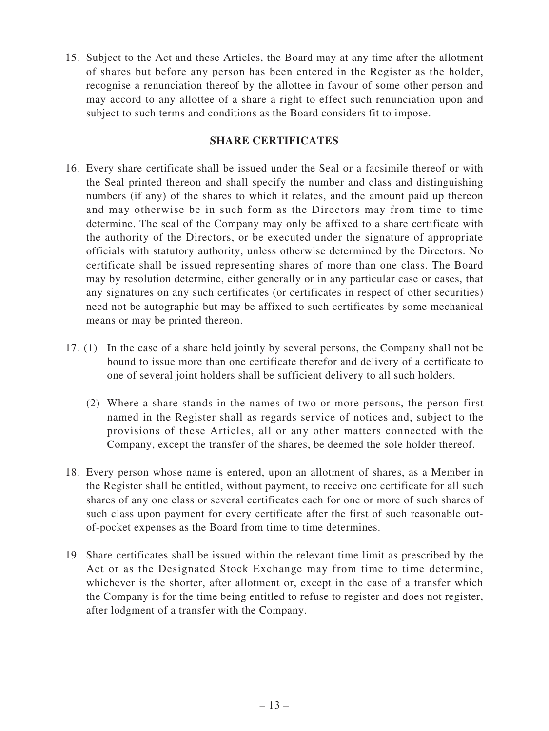15. Subject to the Act and these Articles, the Board may at any time after the allotment of shares but before any person has been entered in the Register as the holder, recognise a renunciation thereof by the allottee in favour of some other person and may accord to any allottee of a share a right to effect such renunciation upon and subject to such terms and conditions as the Board considers fit to impose.

## **SHARE CERTIFICATES**

- 16. Every share certificate shall be issued under the Seal or a facsimile thereof or with the Seal printed thereon and shall specify the number and class and distinguishing numbers (if any) of the shares to which it relates, and the amount paid up thereon and may otherwise be in such form as the Directors may from time to time determine. The seal of the Company may only be affixed to a share certificate with the authority of the Directors, or be executed under the signature of appropriate officials with statutory authority, unless otherwise determined by the Directors. No certificate shall be issued representing shares of more than one class. The Board may by resolution determine, either generally or in any particular case or cases, that any signatures on any such certificates (or certificates in respect of other securities) need not be autographic but may be affixed to such certificates by some mechanical means or may be printed thereon.
- 17. (1) In the case of a share held jointly by several persons, the Company shall not be bound to issue more than one certificate therefor and delivery of a certificate to one of several joint holders shall be sufficient delivery to all such holders.
	- (2) Where a share stands in the names of two or more persons, the person first named in the Register shall as regards service of notices and, subject to the provisions of these Articles, all or any other matters connected with the Company, except the transfer of the shares, be deemed the sole holder thereof.
- 18. Every person whose name is entered, upon an allotment of shares, as a Member in the Register shall be entitled, without payment, to receive one certificate for all such shares of any one class or several certificates each for one or more of such shares of such class upon payment for every certificate after the first of such reasonable outof-pocket expenses as the Board from time to time determines.
- 19. Share certificates shall be issued within the relevant time limit as prescribed by the Act or as the Designated Stock Exchange may from time to time determine, whichever is the shorter, after allotment or, except in the case of a transfer which the Company is for the time being entitled to refuse to register and does not register, after lodgment of a transfer with the Company.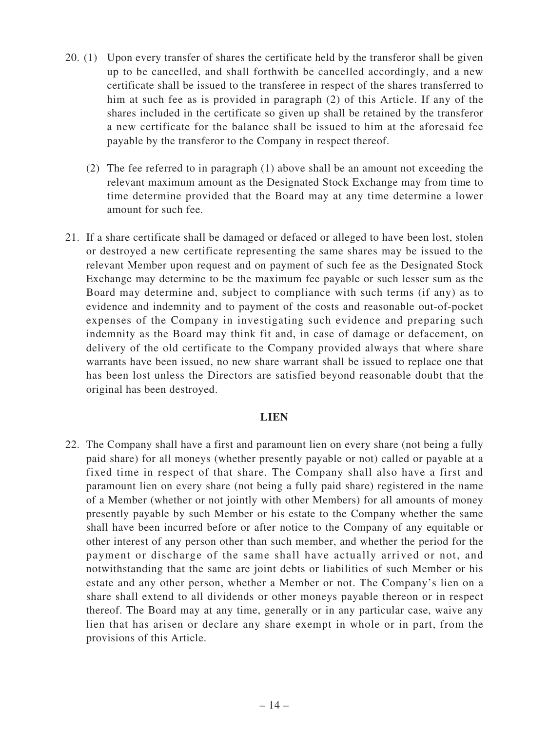- 20. (1) Upon every transfer of shares the certificate held by the transferor shall be given up to be cancelled, and shall forthwith be cancelled accordingly, and a new certificate shall be issued to the transferee in respect of the shares transferred to him at such fee as is provided in paragraph (2) of this Article. If any of the shares included in the certificate so given up shall be retained by the transferor a new certificate for the balance shall be issued to him at the aforesaid fee payable by the transferor to the Company in respect thereof.
	- (2) The fee referred to in paragraph (1) above shall be an amount not exceeding the relevant maximum amount as the Designated Stock Exchange may from time to time determine provided that the Board may at any time determine a lower amount for such fee.
- 21. If a share certificate shall be damaged or defaced or alleged to have been lost, stolen or destroyed a new certificate representing the same shares may be issued to the relevant Member upon request and on payment of such fee as the Designated Stock Exchange may determine to be the maximum fee payable or such lesser sum as the Board may determine and, subject to compliance with such terms (if any) as to evidence and indemnity and to payment of the costs and reasonable out-of-pocket expenses of the Company in investigating such evidence and preparing such indemnity as the Board may think fit and, in case of damage or defacement, on delivery of the old certificate to the Company provided always that where share warrants have been issued, no new share warrant shall be issued to replace one that has been lost unless the Directors are satisfied beyond reasonable doubt that the original has been destroyed.

#### **LIEN**

22. The Company shall have a first and paramount lien on every share (not being a fully paid share) for all moneys (whether presently payable or not) called or payable at a fixed time in respect of that share. The Company shall also have a first and paramount lien on every share (not being a fully paid share) registered in the name of a Member (whether or not jointly with other Members) for all amounts of money presently payable by such Member or his estate to the Company whether the same shall have been incurred before or after notice to the Company of any equitable or other interest of any person other than such member, and whether the period for the payment or discharge of the same shall have actually arrived or not, and notwithstanding that the same are joint debts or liabilities of such Member or his estate and any other person, whether a Member or not. The Company's lien on a share shall extend to all dividends or other moneys payable thereon or in respect thereof. The Board may at any time, generally or in any particular case, waive any lien that has arisen or declare any share exempt in whole or in part, from the provisions of this Article.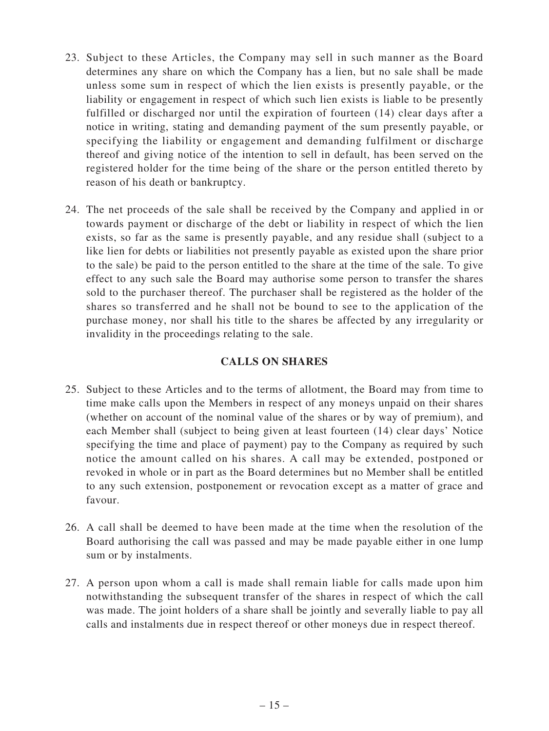- 23. Subject to these Articles, the Company may sell in such manner as the Board determines any share on which the Company has a lien, but no sale shall be made unless some sum in respect of which the lien exists is presently payable, or the liability or engagement in respect of which such lien exists is liable to be presently fulfilled or discharged nor until the expiration of fourteen (14) clear days after a notice in writing, stating and demanding payment of the sum presently payable, or specifying the liability or engagement and demanding fulfilment or discharge thereof and giving notice of the intention to sell in default, has been served on the registered holder for the time being of the share or the person entitled thereto by reason of his death or bankruptcy.
- 24. The net proceeds of the sale shall be received by the Company and applied in or towards payment or discharge of the debt or liability in respect of which the lien exists, so far as the same is presently payable, and any residue shall (subject to a like lien for debts or liabilities not presently payable as existed upon the share prior to the sale) be paid to the person entitled to the share at the time of the sale. To give effect to any such sale the Board may authorise some person to transfer the shares sold to the purchaser thereof. The purchaser shall be registered as the holder of the shares so transferred and he shall not be bound to see to the application of the purchase money, nor shall his title to the shares be affected by any irregularity or invalidity in the proceedings relating to the sale.

## **CALLS ON SHARES**

- 25. Subject to these Articles and to the terms of allotment, the Board may from time to time make calls upon the Members in respect of any moneys unpaid on their shares (whether on account of the nominal value of the shares or by way of premium), and each Member shall (subject to being given at least fourteen (14) clear days' Notice specifying the time and place of payment) pay to the Company as required by such notice the amount called on his shares. A call may be extended, postponed or revoked in whole or in part as the Board determines but no Member shall be entitled to any such extension, postponement or revocation except as a matter of grace and favour.
- 26. A call shall be deemed to have been made at the time when the resolution of the Board authorising the call was passed and may be made payable either in one lump sum or by instalments.
- 27. A person upon whom a call is made shall remain liable for calls made upon him notwithstanding the subsequent transfer of the shares in respect of which the call was made. The joint holders of a share shall be jointly and severally liable to pay all calls and instalments due in respect thereof or other moneys due in respect thereof.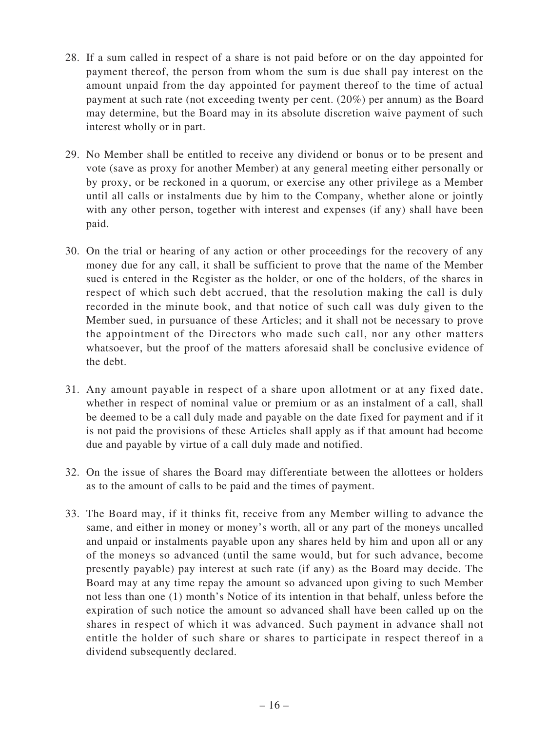- 28. If a sum called in respect of a share is not paid before or on the day appointed for payment thereof, the person from whom the sum is due shall pay interest on the amount unpaid from the day appointed for payment thereof to the time of actual payment at such rate (not exceeding twenty per cent. (20%) per annum) as the Board may determine, but the Board may in its absolute discretion waive payment of such interest wholly or in part.
- 29. No Member shall be entitled to receive any dividend or bonus or to be present and vote (save as proxy for another Member) at any general meeting either personally or by proxy, or be reckoned in a quorum, or exercise any other privilege as a Member until all calls or instalments due by him to the Company, whether alone or jointly with any other person, together with interest and expenses (if any) shall have been paid.
- 30. On the trial or hearing of any action or other proceedings for the recovery of any money due for any call, it shall be sufficient to prove that the name of the Member sued is entered in the Register as the holder, or one of the holders, of the shares in respect of which such debt accrued, that the resolution making the call is duly recorded in the minute book, and that notice of such call was duly given to the Member sued, in pursuance of these Articles; and it shall not be necessary to prove the appointment of the Directors who made such call, nor any other matters whatsoever, but the proof of the matters aforesaid shall be conclusive evidence of the debt.
- 31. Any amount payable in respect of a share upon allotment or at any fixed date, whether in respect of nominal value or premium or as an instalment of a call, shall be deemed to be a call duly made and payable on the date fixed for payment and if it is not paid the provisions of these Articles shall apply as if that amount had become due and payable by virtue of a call duly made and notified.
- 32. On the issue of shares the Board may differentiate between the allottees or holders as to the amount of calls to be paid and the times of payment.
- 33. The Board may, if it thinks fit, receive from any Member willing to advance the same, and either in money or money's worth, all or any part of the moneys uncalled and unpaid or instalments payable upon any shares held by him and upon all or any of the moneys so advanced (until the same would, but for such advance, become presently payable) pay interest at such rate (if any) as the Board may decide. The Board may at any time repay the amount so advanced upon giving to such Member not less than one (1) month's Notice of its intention in that behalf, unless before the expiration of such notice the amount so advanced shall have been called up on the shares in respect of which it was advanced. Such payment in advance shall not entitle the holder of such share or shares to participate in respect thereof in a dividend subsequently declared.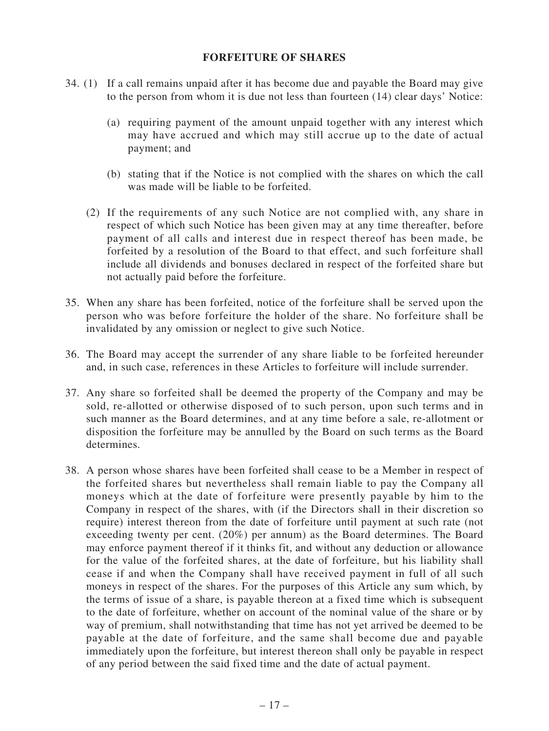#### **FORFEITURE OF SHARES**

- 34. (1) If a call remains unpaid after it has become due and payable the Board may give to the person from whom it is due not less than fourteen (14) clear days' Notice:
	- (a) requiring payment of the amount unpaid together with any interest which may have accrued and which may still accrue up to the date of actual payment; and
	- (b) stating that if the Notice is not complied with the shares on which the call was made will be liable to be forfeited.
	- (2) If the requirements of any such Notice are not complied with, any share in respect of which such Notice has been given may at any time thereafter, before payment of all calls and interest due in respect thereof has been made, be forfeited by a resolution of the Board to that effect, and such forfeiture shall include all dividends and bonuses declared in respect of the forfeited share but not actually paid before the forfeiture.
- 35. When any share has been forfeited, notice of the forfeiture shall be served upon the person who was before forfeiture the holder of the share. No forfeiture shall be invalidated by any omission or neglect to give such Notice.
- 36. The Board may accept the surrender of any share liable to be forfeited hereunder and, in such case, references in these Articles to forfeiture will include surrender.
- 37. Any share so forfeited shall be deemed the property of the Company and may be sold, re-allotted or otherwise disposed of to such person, upon such terms and in such manner as the Board determines, and at any time before a sale, re-allotment or disposition the forfeiture may be annulled by the Board on such terms as the Board determines.
- 38. A person whose shares have been forfeited shall cease to be a Member in respect of the forfeited shares but nevertheless shall remain liable to pay the Company all moneys which at the date of forfeiture were presently payable by him to the Company in respect of the shares, with (if the Directors shall in their discretion so require) interest thereon from the date of forfeiture until payment at such rate (not exceeding twenty per cent. (20%) per annum) as the Board determines. The Board may enforce payment thereof if it thinks fit, and without any deduction or allowance for the value of the forfeited shares, at the date of forfeiture, but his liability shall cease if and when the Company shall have received payment in full of all such moneys in respect of the shares. For the purposes of this Article any sum which, by the terms of issue of a share, is payable thereon at a fixed time which is subsequent to the date of forfeiture, whether on account of the nominal value of the share or by way of premium, shall notwithstanding that time has not yet arrived be deemed to be payable at the date of forfeiture, and the same shall become due and payable immediately upon the forfeiture, but interest thereon shall only be payable in respect of any period between the said fixed time and the date of actual payment.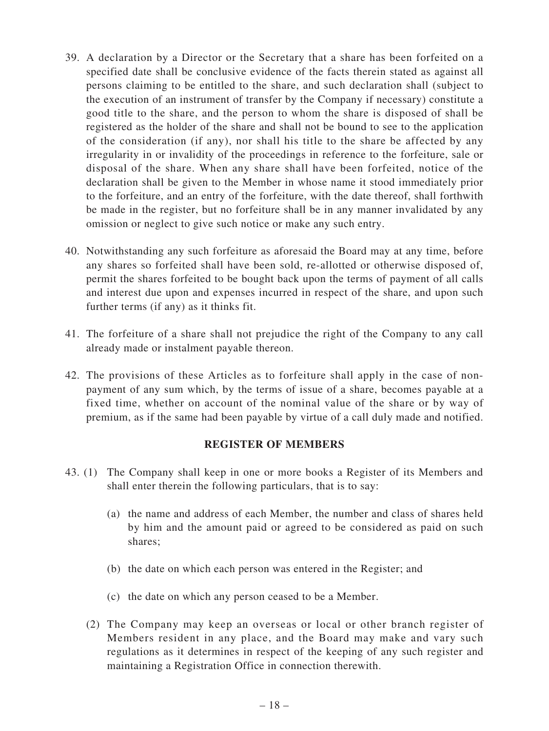- 39. A declaration by a Director or the Secretary that a share has been forfeited on a specified date shall be conclusive evidence of the facts therein stated as against all persons claiming to be entitled to the share, and such declaration shall (subject to the execution of an instrument of transfer by the Company if necessary) constitute a good title to the share, and the person to whom the share is disposed of shall be registered as the holder of the share and shall not be bound to see to the application of the consideration (if any), nor shall his title to the share be affected by any irregularity in or invalidity of the proceedings in reference to the forfeiture, sale or disposal of the share. When any share shall have been forfeited, notice of the declaration shall be given to the Member in whose name it stood immediately prior to the forfeiture, and an entry of the forfeiture, with the date thereof, shall forthwith be made in the register, but no forfeiture shall be in any manner invalidated by any omission or neglect to give such notice or make any such entry.
- 40. Notwithstanding any such forfeiture as aforesaid the Board may at any time, before any shares so forfeited shall have been sold, re-allotted or otherwise disposed of, permit the shares forfeited to be bought back upon the terms of payment of all calls and interest due upon and expenses incurred in respect of the share, and upon such further terms (if any) as it thinks fit.
- 41. The forfeiture of a share shall not prejudice the right of the Company to any call already made or instalment payable thereon.
- 42. The provisions of these Articles as to forfeiture shall apply in the case of nonpayment of any sum which, by the terms of issue of a share, becomes payable at a fixed time, whether on account of the nominal value of the share or by way of premium, as if the same had been payable by virtue of a call duly made and notified.

## **REGISTER OF MEMBERS**

- 43. (1) The Company shall keep in one or more books a Register of its Members and shall enter therein the following particulars, that is to say:
	- (a) the name and address of each Member, the number and class of shares held by him and the amount paid or agreed to be considered as paid on such shares;
	- (b) the date on which each person was entered in the Register; and
	- (c) the date on which any person ceased to be a Member.
	- (2) The Company may keep an overseas or local or other branch register of Members resident in any place, and the Board may make and vary such regulations as it determines in respect of the keeping of any such register and maintaining a Registration Office in connection therewith.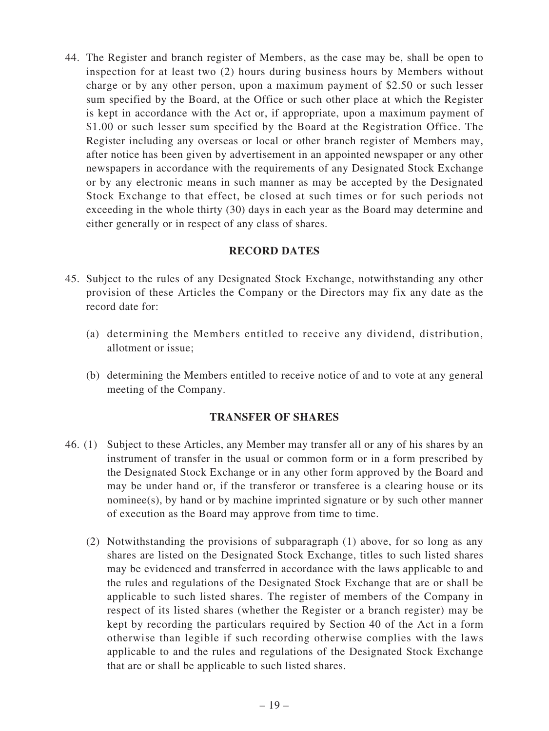44. The Register and branch register of Members, as the case may be, shall be open to inspection for at least two (2) hours during business hours by Members without charge or by any other person, upon a maximum payment of \$2.50 or such lesser sum specified by the Board, at the Office or such other place at which the Register is kept in accordance with the Act or, if appropriate, upon a maximum payment of \$1.00 or such lesser sum specified by the Board at the Registration Office. The Register including any overseas or local or other branch register of Members may, after notice has been given by advertisement in an appointed newspaper or any other newspapers in accordance with the requirements of any Designated Stock Exchange or by any electronic means in such manner as may be accepted by the Designated Stock Exchange to that effect, be closed at such times or for such periods not exceeding in the whole thirty (30) days in each year as the Board may determine and either generally or in respect of any class of shares.

## **RECORD DATES**

- 45. Subject to the rules of any Designated Stock Exchange, notwithstanding any other provision of these Articles the Company or the Directors may fix any date as the record date for:
	- (a) determining the Members entitled to receive any dividend, distribution, allotment or issue;
	- (b) determining the Members entitled to receive notice of and to vote at any general meeting of the Company.

## **TRANSFER OF SHARES**

- 46. (1) Subject to these Articles, any Member may transfer all or any of his shares by an instrument of transfer in the usual or common form or in a form prescribed by the Designated Stock Exchange or in any other form approved by the Board and may be under hand or, if the transferor or transferee is a clearing house or its nominee(s), by hand or by machine imprinted signature or by such other manner of execution as the Board may approve from time to time.
	- (2) Notwithstanding the provisions of subparagraph (1) above, for so long as any shares are listed on the Designated Stock Exchange, titles to such listed shares may be evidenced and transferred in accordance with the laws applicable to and the rules and regulations of the Designated Stock Exchange that are or shall be applicable to such listed shares. The register of members of the Company in respect of its listed shares (whether the Register or a branch register) may be kept by recording the particulars required by Section 40 of the Act in a form otherwise than legible if such recording otherwise complies with the laws applicable to and the rules and regulations of the Designated Stock Exchange that are or shall be applicable to such listed shares.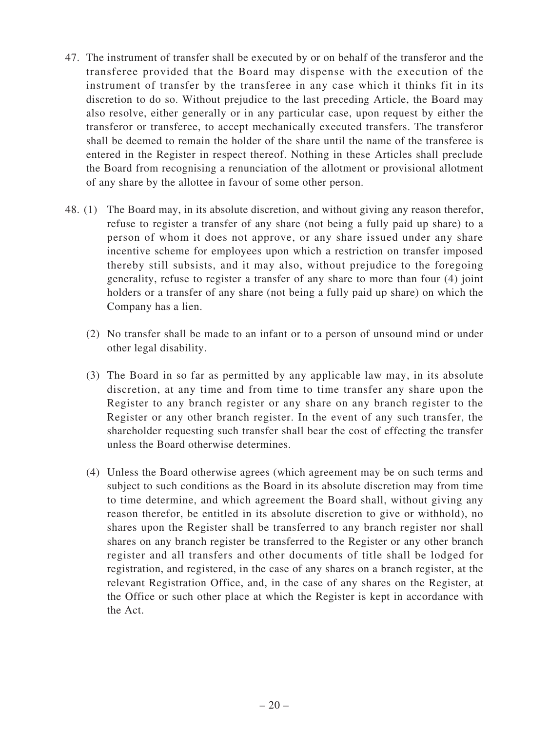- 47. The instrument of transfer shall be executed by or on behalf of the transferor and the transferee provided that the Board may dispense with the execution of the instrument of transfer by the transferee in any case which it thinks fit in its discretion to do so. Without prejudice to the last preceding Article, the Board may also resolve, either generally or in any particular case, upon request by either the transferor or transferee, to accept mechanically executed transfers. The transferor shall be deemed to remain the holder of the share until the name of the transferee is entered in the Register in respect thereof. Nothing in these Articles shall preclude the Board from recognising a renunciation of the allotment or provisional allotment of any share by the allottee in favour of some other person.
- 48. (1) The Board may, in its absolute discretion, and without giving any reason therefor, refuse to register a transfer of any share (not being a fully paid up share) to a person of whom it does not approve, or any share issued under any share incentive scheme for employees upon which a restriction on transfer imposed thereby still subsists, and it may also, without prejudice to the foregoing generality, refuse to register a transfer of any share to more than four (4) joint holders or a transfer of any share (not being a fully paid up share) on which the Company has a lien.
	- (2) No transfer shall be made to an infant or to a person of unsound mind or under other legal disability.
	- (3) The Board in so far as permitted by any applicable law may, in its absolute discretion, at any time and from time to time transfer any share upon the Register to any branch register or any share on any branch register to the Register or any other branch register. In the event of any such transfer, the shareholder requesting such transfer shall bear the cost of effecting the transfer unless the Board otherwise determines.
	- (4) Unless the Board otherwise agrees (which agreement may be on such terms and subject to such conditions as the Board in its absolute discretion may from time to time determine, and which agreement the Board shall, without giving any reason therefor, be entitled in its absolute discretion to give or withhold), no shares upon the Register shall be transferred to any branch register nor shall shares on any branch register be transferred to the Register or any other branch register and all transfers and other documents of title shall be lodged for registration, and registered, in the case of any shares on a branch register, at the relevant Registration Office, and, in the case of any shares on the Register, at the Office or such other place at which the Register is kept in accordance with the Act.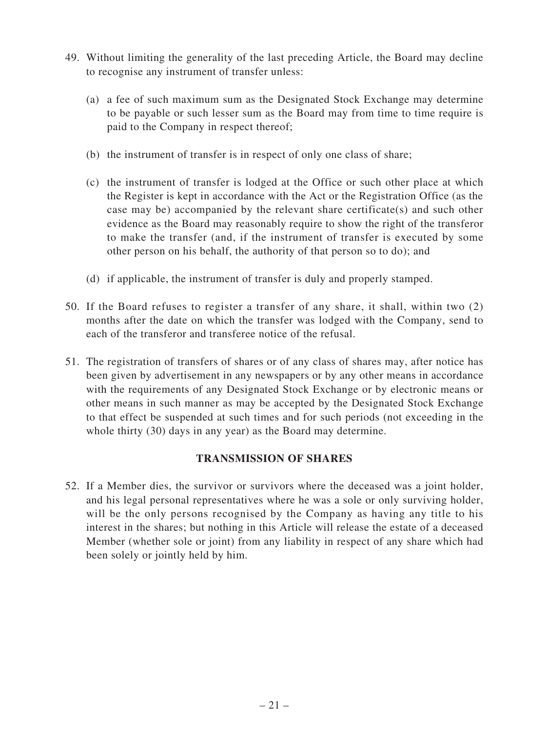- 49. Without limiting the generality of the last preceding Article, the Board may decline to recognise any instrument of transfer unless:
	- (a) a fee of such maximum sum as the Designated Stock Exchange may determine to be payable or such lesser sum as the Board may from time to time require is paid to the Company in respect thereof;
	- (b) the instrument of transfer is in respect of only one class of share;
	- (c) the instrument of transfer is lodged at the Office or such other place at which the Register is kept in accordance with the Act or the Registration Office (as the case may be) accompanied by the relevant share certificate(s) and such other evidence as the Board may reasonably require to show the right of the transferor to make the transfer (and, if the instrument of transfer is executed by some other person on his behalf, the authority of that person so to do); and
	- (d) if applicable, the instrument of transfer is duly and properly stamped.
- 50. If the Board refuses to register a transfer of any share, it shall, within two (2) months after the date on which the transfer was lodged with the Company, send to each of the transferor and transferee notice of the refusal.
- 51. The registration of transfers of shares or of any class of shares may, after notice has been given by advertisement in any newspapers or by any other means in accordance with the requirements of any Designated Stock Exchange or by electronic means or other means in such manner as may be accepted by the Designated Stock Exchange to that effect be suspended at such times and for such periods (not exceeding in the whole thirty (30) days in any year) as the Board may determine.

## **TRANSMISSION OF SHARES**

52. If a Member dies, the survivor or survivors where the deceased was a joint holder, and his legal personal representatives where he was a sole or only surviving holder, will be the only persons recognised by the Company as having any title to his interest in the shares; but nothing in this Article will release the estate of a deceased Member (whether sole or joint) from any liability in respect of any share which had been solely or jointly held by him.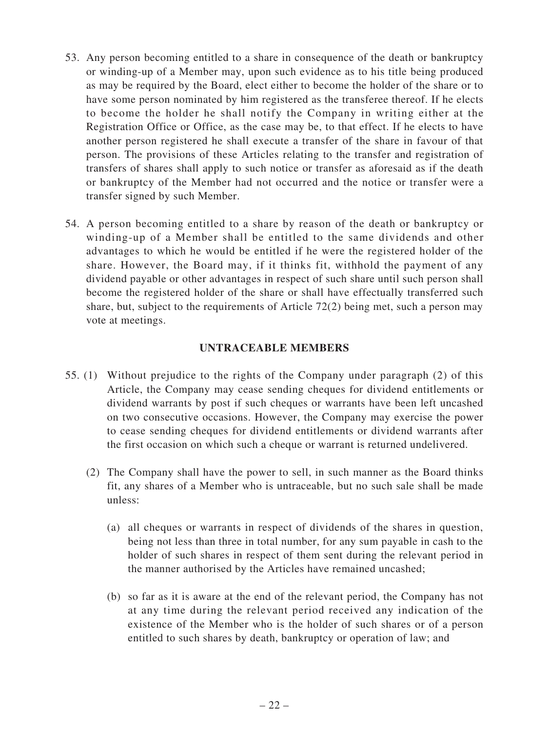- 53. Any person becoming entitled to a share in consequence of the death or bankruptcy or winding-up of a Member may, upon such evidence as to his title being produced as may be required by the Board, elect either to become the holder of the share or to have some person nominated by him registered as the transferee thereof. If he elects to become the holder he shall notify the Company in writing either at the Registration Office or Office, as the case may be, to that effect. If he elects to have another person registered he shall execute a transfer of the share in favour of that person. The provisions of these Articles relating to the transfer and registration of transfers of shares shall apply to such notice or transfer as aforesaid as if the death or bankruptcy of the Member had not occurred and the notice or transfer were a transfer signed by such Member.
- 54. A person becoming entitled to a share by reason of the death or bankruptcy or winding-up of a Member shall be entitled to the same dividends and other advantages to which he would be entitled if he were the registered holder of the share. However, the Board may, if it thinks fit, withhold the payment of any dividend payable or other advantages in respect of such share until such person shall become the registered holder of the share or shall have effectually transferred such share, but, subject to the requirements of Article 72(2) being met, such a person may vote at meetings.

#### **UNTRACEABLE MEMBERS**

- 55. (1) Without prejudice to the rights of the Company under paragraph (2) of this Article, the Company may cease sending cheques for dividend entitlements or dividend warrants by post if such cheques or warrants have been left uncashed on two consecutive occasions. However, the Company may exercise the power to cease sending cheques for dividend entitlements or dividend warrants after the first occasion on which such a cheque or warrant is returned undelivered.
	- (2) The Company shall have the power to sell, in such manner as the Board thinks fit, any shares of a Member who is untraceable, but no such sale shall be made unless:
		- (a) all cheques or warrants in respect of dividends of the shares in question, being not less than three in total number, for any sum payable in cash to the holder of such shares in respect of them sent during the relevant period in the manner authorised by the Articles have remained uncashed;
		- (b) so far as it is aware at the end of the relevant period, the Company has not at any time during the relevant period received any indication of the existence of the Member who is the holder of such shares or of a person entitled to such shares by death, bankruptcy or operation of law; and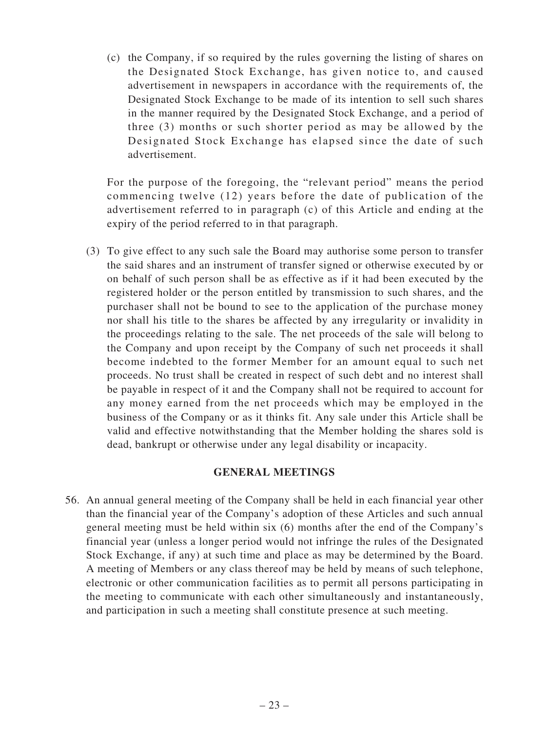(c) the Company, if so required by the rules governing the listing of shares on the Designated Stock Exchange, has given notice to, and caused advertisement in newspapers in accordance with the requirements of, the Designated Stock Exchange to be made of its intention to sell such shares in the manner required by the Designated Stock Exchange, and a period of three (3) months or such shorter period as may be allowed by the Designated Stock Exchange has elapsed since the date of such advertisement.

For the purpose of the foregoing, the "relevant period" means the period commencing twelve (12) years before the date of publication of the advertisement referred to in paragraph (c) of this Article and ending at the expiry of the period referred to in that paragraph.

(3) To give effect to any such sale the Board may authorise some person to transfer the said shares and an instrument of transfer signed or otherwise executed by or on behalf of such person shall be as effective as if it had been executed by the registered holder or the person entitled by transmission to such shares, and the purchaser shall not be bound to see to the application of the purchase money nor shall his title to the shares be affected by any irregularity or invalidity in the proceedings relating to the sale. The net proceeds of the sale will belong to the Company and upon receipt by the Company of such net proceeds it shall become indebted to the former Member for an amount equal to such net proceeds. No trust shall be created in respect of such debt and no interest shall be payable in respect of it and the Company shall not be required to account for any money earned from the net proceeds which may be employed in the business of the Company or as it thinks fit. Any sale under this Article shall be valid and effective notwithstanding that the Member holding the shares sold is dead, bankrupt or otherwise under any legal disability or incapacity.

## **GENERAL MEETINGS**

56. An annual general meeting of the Company shall be held in each financial year other than the financial year of the Company's adoption of these Articles and such annual general meeting must be held within six (6) months after the end of the Company's financial year (unless a longer period would not infringe the rules of the Designated Stock Exchange, if any) at such time and place as may be determined by the Board. A meeting of Members or any class thereof may be held by means of such telephone, electronic or other communication facilities as to permit all persons participating in the meeting to communicate with each other simultaneously and instantaneously, and participation in such a meeting shall constitute presence at such meeting.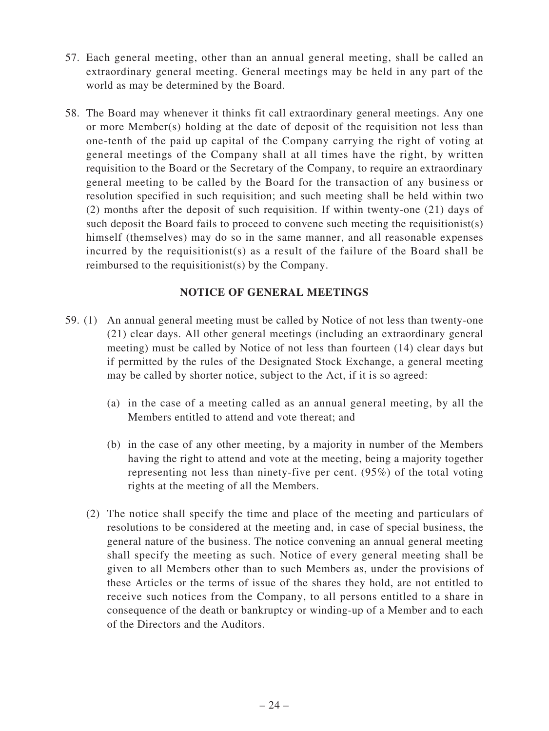- 57. Each general meeting, other than an annual general meeting, shall be called an extraordinary general meeting. General meetings may be held in any part of the world as may be determined by the Board.
- 58. The Board may whenever it thinks fit call extraordinary general meetings. Any one or more Member(s) holding at the date of deposit of the requisition not less than one-tenth of the paid up capital of the Company carrying the right of voting at general meetings of the Company shall at all times have the right, by written requisition to the Board or the Secretary of the Company, to require an extraordinary general meeting to be called by the Board for the transaction of any business or resolution specified in such requisition; and such meeting shall be held within two (2) months after the deposit of such requisition. If within twenty-one (21) days of such deposit the Board fails to proceed to convene such meeting the requisitionist(s) himself (themselves) may do so in the same manner, and all reasonable expenses incurred by the requisitionist(s) as a result of the failure of the Board shall be reimbursed to the requisitionist(s) by the Company.

#### **NOTICE OF GENERAL MEETINGS**

- 59. (1) An annual general meeting must be called by Notice of not less than twenty-one (21) clear days. All other general meetings (including an extraordinary general meeting) must be called by Notice of not less than fourteen (14) clear days but if permitted by the rules of the Designated Stock Exchange, a general meeting may be called by shorter notice, subject to the Act, if it is so agreed:
	- (a) in the case of a meeting called as an annual general meeting, by all the Members entitled to attend and vote thereat; and
	- (b) in the case of any other meeting, by a majority in number of the Members having the right to attend and vote at the meeting, being a majority together representing not less than ninety-five per cent. (95%) of the total voting rights at the meeting of all the Members.
	- (2) The notice shall specify the time and place of the meeting and particulars of resolutions to be considered at the meeting and, in case of special business, the general nature of the business. The notice convening an annual general meeting shall specify the meeting as such. Notice of every general meeting shall be given to all Members other than to such Members as, under the provisions of these Articles or the terms of issue of the shares they hold, are not entitled to receive such notices from the Company, to all persons entitled to a share in consequence of the death or bankruptcy or winding-up of a Member and to each of the Directors and the Auditors.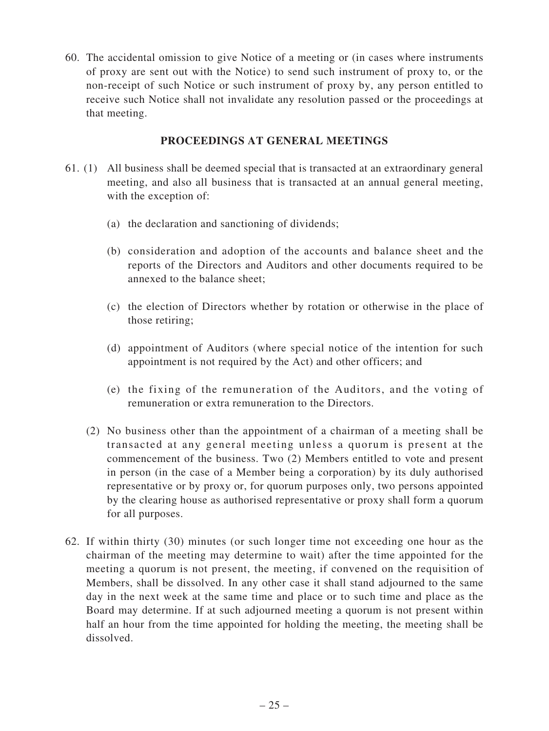60. The accidental omission to give Notice of a meeting or (in cases where instruments of proxy are sent out with the Notice) to send such instrument of proxy to, or the non-receipt of such Notice or such instrument of proxy by, any person entitled to receive such Notice shall not invalidate any resolution passed or the proceedings at that meeting.

### **PROCEEDINGS AT GENERAL MEETINGS**

- 61. (1) All business shall be deemed special that is transacted at an extraordinary general meeting, and also all business that is transacted at an annual general meeting, with the exception of:
	- (a) the declaration and sanctioning of dividends;
	- (b) consideration and adoption of the accounts and balance sheet and the reports of the Directors and Auditors and other documents required to be annexed to the balance sheet;
	- (c) the election of Directors whether by rotation or otherwise in the place of those retiring;
	- (d) appointment of Auditors (where special notice of the intention for such appointment is not required by the Act) and other officers; and
	- (e) the fixing of the remuneration of the Auditors, and the voting of remuneration or extra remuneration to the Directors.
	- (2) No business other than the appointment of a chairman of a meeting shall be transacted at any general meeting unless a quorum is present at the commencement of the business. Two (2) Members entitled to vote and present in person (in the case of a Member being a corporation) by its duly authorised representative or by proxy or, for quorum purposes only, two persons appointed by the clearing house as authorised representative or proxy shall form a quorum for all purposes.
- 62. If within thirty (30) minutes (or such longer time not exceeding one hour as the chairman of the meeting may determine to wait) after the time appointed for the meeting a quorum is not present, the meeting, if convened on the requisition of Members, shall be dissolved. In any other case it shall stand adjourned to the same day in the next week at the same time and place or to such time and place as the Board may determine. If at such adjourned meeting a quorum is not present within half an hour from the time appointed for holding the meeting, the meeting shall be dissolved.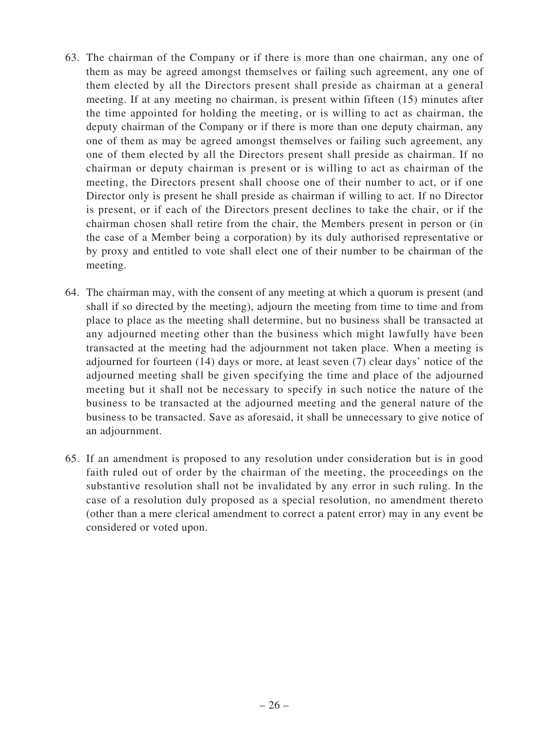- 63. The chairman of the Company or if there is more than one chairman, any one of them as may be agreed amongst themselves or failing such agreement, any one of them elected by all the Directors present shall preside as chairman at a general meeting. If at any meeting no chairman, is present within fifteen (15) minutes after the time appointed for holding the meeting, or is willing to act as chairman, the deputy chairman of the Company or if there is more than one deputy chairman, any one of them as may be agreed amongst themselves or failing such agreement, any one of them elected by all the Directors present shall preside as chairman. If no chairman or deputy chairman is present or is willing to act as chairman of the meeting, the Directors present shall choose one of their number to act, or if one Director only is present he shall preside as chairman if willing to act. If no Director is present, or if each of the Directors present declines to take the chair, or if the chairman chosen shall retire from the chair, the Members present in person or (in the case of a Member being a corporation) by its duly authorised representative or by proxy and entitled to vote shall elect one of their number to be chairman of the meeting.
- 64. The chairman may, with the consent of any meeting at which a quorum is present (and shall if so directed by the meeting), adjourn the meeting from time to time and from place to place as the meeting shall determine, but no business shall be transacted at any adjourned meeting other than the business which might lawfully have been transacted at the meeting had the adjournment not taken place. When a meeting is adjourned for fourteen (14) days or more, at least seven (7) clear days' notice of the adjourned meeting shall be given specifying the time and place of the adjourned meeting but it shall not be necessary to specify in such notice the nature of the business to be transacted at the adjourned meeting and the general nature of the business to be transacted. Save as aforesaid, it shall be unnecessary to give notice of an adjournment.
- 65. If an amendment is proposed to any resolution under consideration but is in good faith ruled out of order by the chairman of the meeting, the proceedings on the substantive resolution shall not be invalidated by any error in such ruling. In the case of a resolution duly proposed as a special resolution, no amendment thereto (other than a mere clerical amendment to correct a patent error) may in any event be considered or voted upon.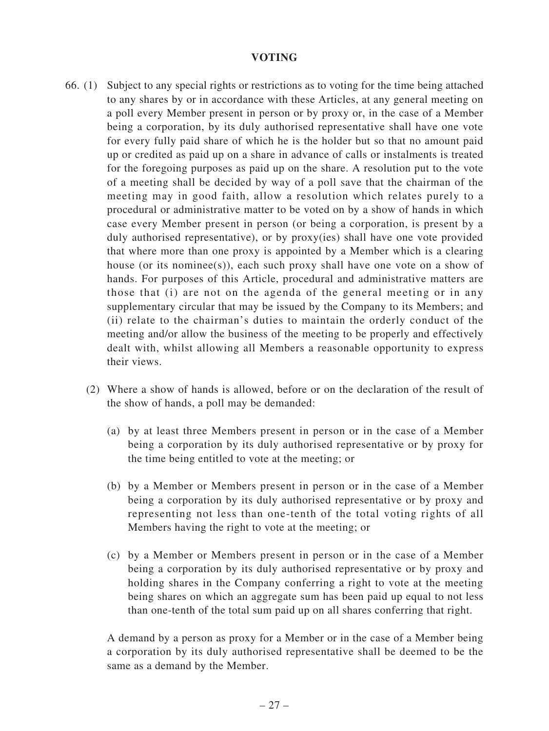#### **VOTING**

- 66. (1) Subject to any special rights or restrictions as to voting for the time being attached to any shares by or in accordance with these Articles, at any general meeting on a poll every Member present in person or by proxy or, in the case of a Member being a corporation, by its duly authorised representative shall have one vote for every fully paid share of which he is the holder but so that no amount paid up or credited as paid up on a share in advance of calls or instalments is treated for the foregoing purposes as paid up on the share. A resolution put to the vote of a meeting shall be decided by way of a poll save that the chairman of the meeting may in good faith, allow a resolution which relates purely to a procedural or administrative matter to be voted on by a show of hands in which case every Member present in person (or being a corporation, is present by a duly authorised representative), or by proxy(ies) shall have one vote provided that where more than one proxy is appointed by a Member which is a clearing house (or its nominee(s)), each such proxy shall have one vote on a show of hands. For purposes of this Article, procedural and administrative matters are those that (i) are not on the agenda of the general meeting or in any supplementary circular that may be issued by the Company to its Members; and (ii) relate to the chairman's duties to maintain the orderly conduct of the meeting and/or allow the business of the meeting to be properly and effectively dealt with, whilst allowing all Members a reasonable opportunity to express their views.
	- (2) Where a show of hands is allowed, before or on the declaration of the result of the show of hands, a poll may be demanded:
		- (a) by at least three Members present in person or in the case of a Member being a corporation by its duly authorised representative or by proxy for the time being entitled to vote at the meeting; or
		- (b) by a Member or Members present in person or in the case of a Member being a corporation by its duly authorised representative or by proxy and representing not less than one-tenth of the total voting rights of all Members having the right to vote at the meeting; or
		- (c) by a Member or Members present in person or in the case of a Member being a corporation by its duly authorised representative or by proxy and holding shares in the Company conferring a right to vote at the meeting being shares on which an aggregate sum has been paid up equal to not less than one-tenth of the total sum paid up on all shares conferring that right.

A demand by a person as proxy for a Member or in the case of a Member being a corporation by its duly authorised representative shall be deemed to be the same as a demand by the Member.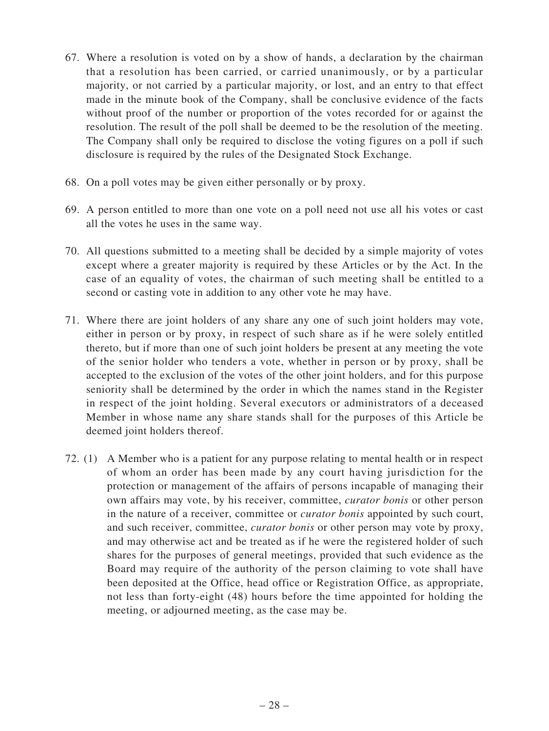- 67. Where a resolution is voted on by a show of hands, a declaration by the chairman that a resolution has been carried, or carried unanimously, or by a particular majority, or not carried by a particular majority, or lost, and an entry to that effect made in the minute book of the Company, shall be conclusive evidence of the facts without proof of the number or proportion of the votes recorded for or against the resolution. The result of the poll shall be deemed to be the resolution of the meeting. The Company shall only be required to disclose the voting figures on a poll if such disclosure is required by the rules of the Designated Stock Exchange.
- 68. On a poll votes may be given either personally or by proxy.
- 69. A person entitled to more than one vote on a poll need not use all his votes or cast all the votes he uses in the same way.
- 70. All questions submitted to a meeting shall be decided by a simple majority of votes except where a greater majority is required by these Articles or by the Act. In the case of an equality of votes, the chairman of such meeting shall be entitled to a second or casting vote in addition to any other vote he may have.
- 71. Where there are joint holders of any share any one of such joint holders may vote, either in person or by proxy, in respect of such share as if he were solely entitled thereto, but if more than one of such joint holders be present at any meeting the vote of the senior holder who tenders a vote, whether in person or by proxy, shall be accepted to the exclusion of the votes of the other joint holders, and for this purpose seniority shall be determined by the order in which the names stand in the Register in respect of the joint holding. Several executors or administrators of a deceased Member in whose name any share stands shall for the purposes of this Article be deemed joint holders thereof.
- 72. (1) A Member who is a patient for any purpose relating to mental health or in respect of whom an order has been made by any court having jurisdiction for the protection or management of the affairs of persons incapable of managing their own affairs may vote, by his receiver, committee, *curator bonis* or other person in the nature of a receiver, committee or *curator bonis* appointed by such court, and such receiver, committee, *curator bonis* or other person may vote by proxy, and may otherwise act and be treated as if he were the registered holder of such shares for the purposes of general meetings, provided that such evidence as the Board may require of the authority of the person claiming to vote shall have been deposited at the Office, head office or Registration Office, as appropriate, not less than forty-eight (48) hours before the time appointed for holding the meeting, or adjourned meeting, as the case may be.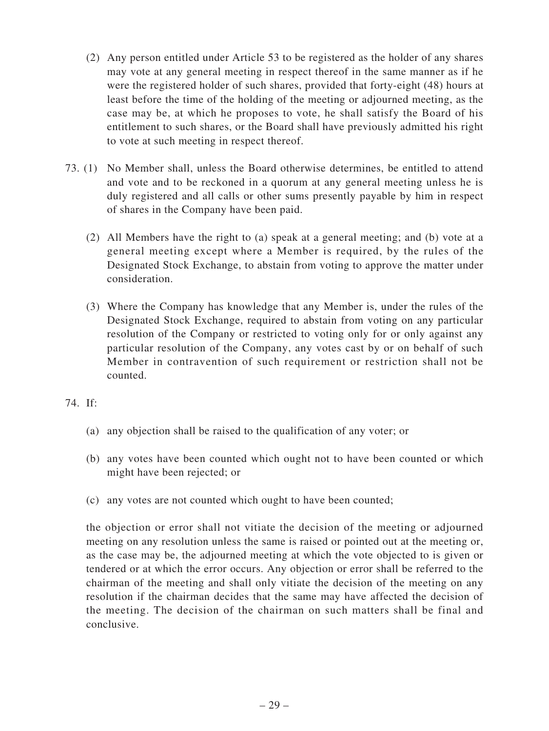- (2) Any person entitled under Article 53 to be registered as the holder of any shares may vote at any general meeting in respect thereof in the same manner as if he were the registered holder of such shares, provided that forty-eight (48) hours at least before the time of the holding of the meeting or adjourned meeting, as the case may be, at which he proposes to vote, he shall satisfy the Board of his entitlement to such shares, or the Board shall have previously admitted his right to vote at such meeting in respect thereof.
- 73. (1) No Member shall, unless the Board otherwise determines, be entitled to attend and vote and to be reckoned in a quorum at any general meeting unless he is duly registered and all calls or other sums presently payable by him in respect of shares in the Company have been paid.
	- (2) All Members have the right to (a) speak at a general meeting; and (b) vote at a general meeting except where a Member is required, by the rules of the Designated Stock Exchange, to abstain from voting to approve the matter under consideration.
	- (3) Where the Company has knowledge that any Member is, under the rules of the Designated Stock Exchange, required to abstain from voting on any particular resolution of the Company or restricted to voting only for or only against any particular resolution of the Company, any votes cast by or on behalf of such Member in contravention of such requirement or restriction shall not be counted.
- 74. If:
	- (a) any objection shall be raised to the qualification of any voter; or
	- (b) any votes have been counted which ought not to have been counted or which might have been rejected; or
	- (c) any votes are not counted which ought to have been counted;

the objection or error shall not vitiate the decision of the meeting or adjourned meeting on any resolution unless the same is raised or pointed out at the meeting or, as the case may be, the adjourned meeting at which the vote objected to is given or tendered or at which the error occurs. Any objection or error shall be referred to the chairman of the meeting and shall only vitiate the decision of the meeting on any resolution if the chairman decides that the same may have affected the decision of the meeting. The decision of the chairman on such matters shall be final and conclusive.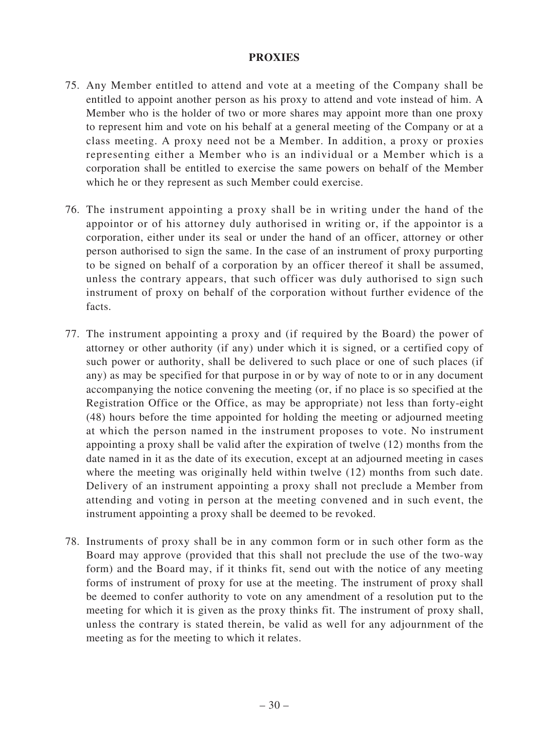#### **PROXIES**

- 75. Any Member entitled to attend and vote at a meeting of the Company shall be entitled to appoint another person as his proxy to attend and vote instead of him. A Member who is the holder of two or more shares may appoint more than one proxy to represent him and vote on his behalf at a general meeting of the Company or at a class meeting. A proxy need not be a Member. In addition, a proxy or proxies representing either a Member who is an individual or a Member which is a corporation shall be entitled to exercise the same powers on behalf of the Member which he or they represent as such Member could exercise.
- 76. The instrument appointing a proxy shall be in writing under the hand of the appointor or of his attorney duly authorised in writing or, if the appointor is a corporation, either under its seal or under the hand of an officer, attorney or other person authorised to sign the same. In the case of an instrument of proxy purporting to be signed on behalf of a corporation by an officer thereof it shall be assumed, unless the contrary appears, that such officer was duly authorised to sign such instrument of proxy on behalf of the corporation without further evidence of the facts.
- 77. The instrument appointing a proxy and (if required by the Board) the power of attorney or other authority (if any) under which it is signed, or a certified copy of such power or authority, shall be delivered to such place or one of such places (if any) as may be specified for that purpose in or by way of note to or in any document accompanying the notice convening the meeting (or, if no place is so specified at the Registration Office or the Office, as may be appropriate) not less than forty-eight (48) hours before the time appointed for holding the meeting or adjourned meeting at which the person named in the instrument proposes to vote. No instrument appointing a proxy shall be valid after the expiration of twelve (12) months from the date named in it as the date of its execution, except at an adjourned meeting in cases where the meeting was originally held within twelve (12) months from such date. Delivery of an instrument appointing a proxy shall not preclude a Member from attending and voting in person at the meeting convened and in such event, the instrument appointing a proxy shall be deemed to be revoked.
- 78. Instruments of proxy shall be in any common form or in such other form as the Board may approve (provided that this shall not preclude the use of the two-way form) and the Board may, if it thinks fit, send out with the notice of any meeting forms of instrument of proxy for use at the meeting. The instrument of proxy shall be deemed to confer authority to vote on any amendment of a resolution put to the meeting for which it is given as the proxy thinks fit. The instrument of proxy shall, unless the contrary is stated therein, be valid as well for any adjournment of the meeting as for the meeting to which it relates.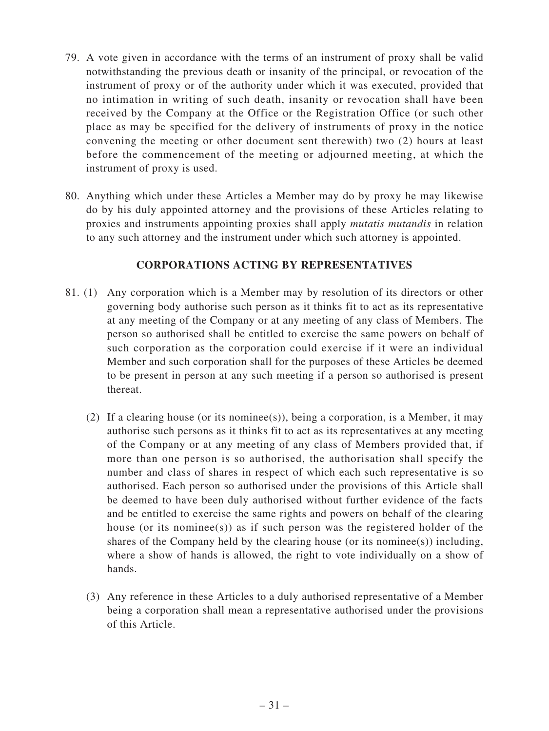- 79. A vote given in accordance with the terms of an instrument of proxy shall be valid notwithstanding the previous death or insanity of the principal, or revocation of the instrument of proxy or of the authority under which it was executed, provided that no intimation in writing of such death, insanity or revocation shall have been received by the Company at the Office or the Registration Office (or such other place as may be specified for the delivery of instruments of proxy in the notice convening the meeting or other document sent therewith) two (2) hours at least before the commencement of the meeting or adjourned meeting, at which the instrument of proxy is used.
- 80. Anything which under these Articles a Member may do by proxy he may likewise do by his duly appointed attorney and the provisions of these Articles relating to proxies and instruments appointing proxies shall apply *mutatis mutandis* in relation to any such attorney and the instrument under which such attorney is appointed.

#### **CORPORATIONS ACTING BY REPRESENTATIVES**

- 81. (1) Any corporation which is a Member may by resolution of its directors or other governing body authorise such person as it thinks fit to act as its representative at any meeting of the Company or at any meeting of any class of Members. The person so authorised shall be entitled to exercise the same powers on behalf of such corporation as the corporation could exercise if it were an individual Member and such corporation shall for the purposes of these Articles be deemed to be present in person at any such meeting if a person so authorised is present thereat.
	- (2) If a clearing house (or its nominee(s)), being a corporation, is a Member, it may authorise such persons as it thinks fit to act as its representatives at any meeting of the Company or at any meeting of any class of Members provided that, if more than one person is so authorised, the authorisation shall specify the number and class of shares in respect of which each such representative is so authorised. Each person so authorised under the provisions of this Article shall be deemed to have been duly authorised without further evidence of the facts and be entitled to exercise the same rights and powers on behalf of the clearing house (or its nominee(s)) as if such person was the registered holder of the shares of the Company held by the clearing house (or its nomines  $(s)$ ) including, where a show of hands is allowed, the right to vote individually on a show of hands.
	- (3) Any reference in these Articles to a duly authorised representative of a Member being a corporation shall mean a representative authorised under the provisions of this Article.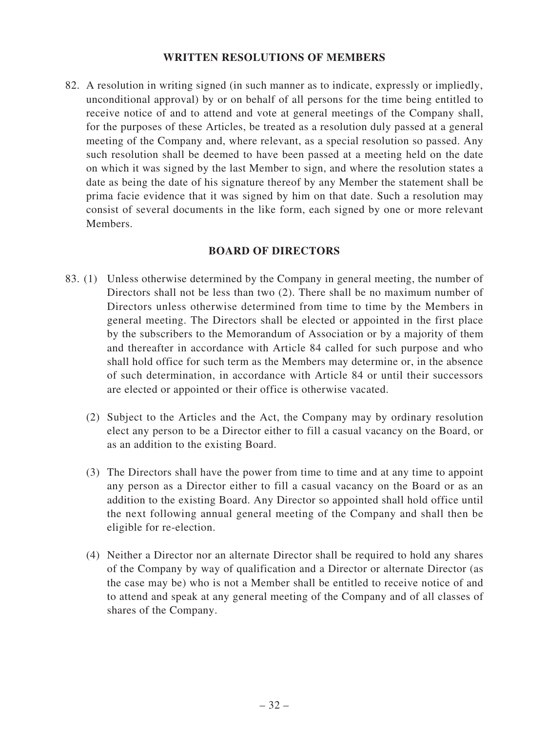#### **WRITTEN RESOLUTIONS OF MEMBERS**

82. A resolution in writing signed (in such manner as to indicate, expressly or impliedly, unconditional approval) by or on behalf of all persons for the time being entitled to receive notice of and to attend and vote at general meetings of the Company shall, for the purposes of these Articles, be treated as a resolution duly passed at a general meeting of the Company and, where relevant, as a special resolution so passed. Any such resolution shall be deemed to have been passed at a meeting held on the date on which it was signed by the last Member to sign, and where the resolution states a date as being the date of his signature thereof by any Member the statement shall be prima facie evidence that it was signed by him on that date. Such a resolution may consist of several documents in the like form, each signed by one or more relevant Members.

#### **BOARD OF DIRECTORS**

- 83. (1) Unless otherwise determined by the Company in general meeting, the number of Directors shall not be less than two (2). There shall be no maximum number of Directors unless otherwise determined from time to time by the Members in general meeting. The Directors shall be elected or appointed in the first place by the subscribers to the Memorandum of Association or by a majority of them and thereafter in accordance with Article 84 called for such purpose and who shall hold office for such term as the Members may determine or, in the absence of such determination, in accordance with Article 84 or until their successors are elected or appointed or their office is otherwise vacated.
	- (2) Subject to the Articles and the Act, the Company may by ordinary resolution elect any person to be a Director either to fill a casual vacancy on the Board, or as an addition to the existing Board.
	- (3) The Directors shall have the power from time to time and at any time to appoint any person as a Director either to fill a casual vacancy on the Board or as an addition to the existing Board. Any Director so appointed shall hold office until the next following annual general meeting of the Company and shall then be eligible for re-election.
	- (4) Neither a Director nor an alternate Director shall be required to hold any shares of the Company by way of qualification and a Director or alternate Director (as the case may be) who is not a Member shall be entitled to receive notice of and to attend and speak at any general meeting of the Company and of all classes of shares of the Company.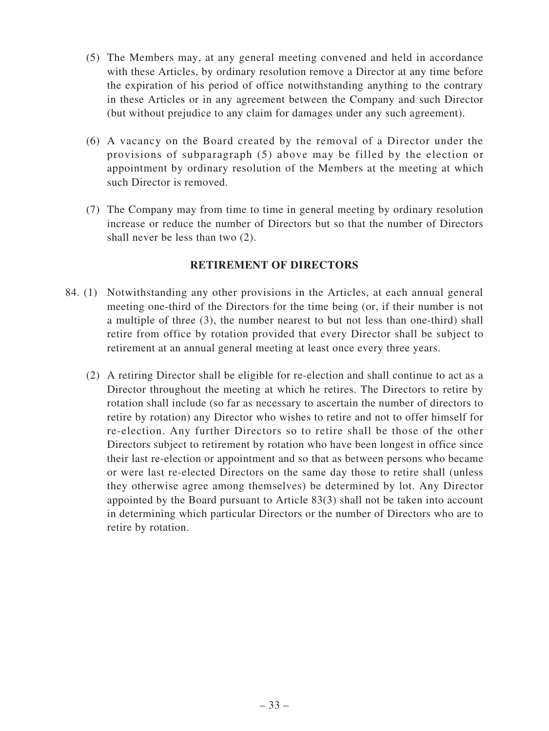- (5) The Members may, at any general meeting convened and held in accordance with these Articles, by ordinary resolution remove a Director at any time before the expiration of his period of office notwithstanding anything to the contrary in these Articles or in any agreement between the Company and such Director (but without prejudice to any claim for damages under any such agreement).
- (6) A vacancy on the Board created by the removal of a Director under the provisions of subparagraph (5) above may be filled by the election or appointment by ordinary resolution of the Members at the meeting at which such Director is removed.
- (7) The Company may from time to time in general meeting by ordinary resolution increase or reduce the number of Directors but so that the number of Directors shall never be less than two (2).

## **RETIREMENT OF DIRECTORS**

- 84. (1) Notwithstanding any other provisions in the Articles, at each annual general meeting one-third of the Directors for the time being (or, if their number is not a multiple of three (3), the number nearest to but not less than one-third) shall retire from office by rotation provided that every Director shall be subject to retirement at an annual general meeting at least once every three years.
	- (2) A retiring Director shall be eligible for re-election and shall continue to act as a Director throughout the meeting at which he retires. The Directors to retire by rotation shall include (so far as necessary to ascertain the number of directors to retire by rotation) any Director who wishes to retire and not to offer himself for re-election. Any further Directors so to retire shall be those of the other Directors subject to retirement by rotation who have been longest in office since their last re-election or appointment and so that as between persons who became or were last re-elected Directors on the same day those to retire shall (unless they otherwise agree among themselves) be determined by lot. Any Director appointed by the Board pursuant to Article 83(3) shall not be taken into account in determining which particular Directors or the number of Directors who are to retire by rotation.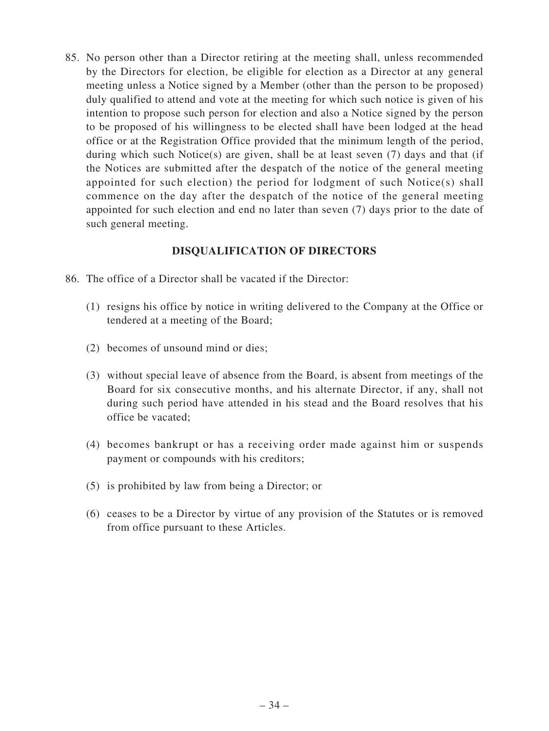85. No person other than a Director retiring at the meeting shall, unless recommended by the Directors for election, be eligible for election as a Director at any general meeting unless a Notice signed by a Member (other than the person to be proposed) duly qualified to attend and vote at the meeting for which such notice is given of his intention to propose such person for election and also a Notice signed by the person to be proposed of his willingness to be elected shall have been lodged at the head office or at the Registration Office provided that the minimum length of the period, during which such Notice(s) are given, shall be at least seven (7) days and that (if the Notices are submitted after the despatch of the notice of the general meeting appointed for such election) the period for lodgment of such Notice(s) shall commence on the day after the despatch of the notice of the general meeting appointed for such election and end no later than seven (7) days prior to the date of such general meeting.

#### **DISQUALIFICATION OF DIRECTORS**

- 86. The office of a Director shall be vacated if the Director:
	- (1) resigns his office by notice in writing delivered to the Company at the Office or tendered at a meeting of the Board;
	- (2) becomes of unsound mind or dies;
	- (3) without special leave of absence from the Board, is absent from meetings of the Board for six consecutive months, and his alternate Director, if any, shall not during such period have attended in his stead and the Board resolves that his office be vacated;
	- (4) becomes bankrupt or has a receiving order made against him or suspends payment or compounds with his creditors;
	- (5) is prohibited by law from being a Director; or
	- (6) ceases to be a Director by virtue of any provision of the Statutes or is removed from office pursuant to these Articles.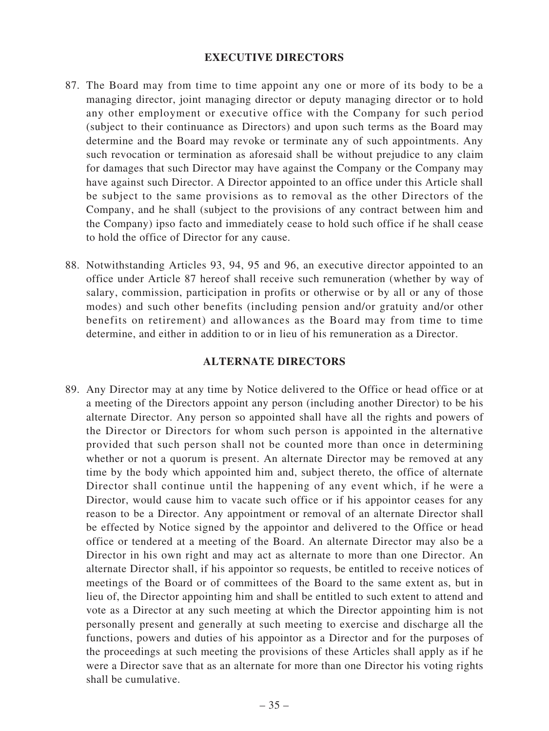#### **EXECUTIVE DIRECTORS**

- 87. The Board may from time to time appoint any one or more of its body to be a managing director, joint managing director or deputy managing director or to hold any other employment or executive office with the Company for such period (subject to their continuance as Directors) and upon such terms as the Board may determine and the Board may revoke or terminate any of such appointments. Any such revocation or termination as aforesaid shall be without prejudice to any claim for damages that such Director may have against the Company or the Company may have against such Director. A Director appointed to an office under this Article shall be subject to the same provisions as to removal as the other Directors of the Company, and he shall (subject to the provisions of any contract between him and the Company) ipso facto and immediately cease to hold such office if he shall cease to hold the office of Director for any cause.
- 88. Notwithstanding Articles 93, 94, 95 and 96, an executive director appointed to an office under Article 87 hereof shall receive such remuneration (whether by way of salary, commission, participation in profits or otherwise or by all or any of those modes) and such other benefits (including pension and/or gratuity and/or other benefits on retirement) and allowances as the Board may from time to time determine, and either in addition to or in lieu of his remuneration as a Director.

#### **ALTERNATE DIRECTORS**

89. Any Director may at any time by Notice delivered to the Office or head office or at a meeting of the Directors appoint any person (including another Director) to be his alternate Director. Any person so appointed shall have all the rights and powers of the Director or Directors for whom such person is appointed in the alternative provided that such person shall not be counted more than once in determining whether or not a quorum is present. An alternate Director may be removed at any time by the body which appointed him and, subject thereto, the office of alternate Director shall continue until the happening of any event which, if he were a Director, would cause him to vacate such office or if his appointor ceases for any reason to be a Director. Any appointment or removal of an alternate Director shall be effected by Notice signed by the appointor and delivered to the Office or head office or tendered at a meeting of the Board. An alternate Director may also be a Director in his own right and may act as alternate to more than one Director. An alternate Director shall, if his appointor so requests, be entitled to receive notices of meetings of the Board or of committees of the Board to the same extent as, but in lieu of, the Director appointing him and shall be entitled to such extent to attend and vote as a Director at any such meeting at which the Director appointing him is not personally present and generally at such meeting to exercise and discharge all the functions, powers and duties of his appointor as a Director and for the purposes of the proceedings at such meeting the provisions of these Articles shall apply as if he were a Director save that as an alternate for more than one Director his voting rights shall be cumulative.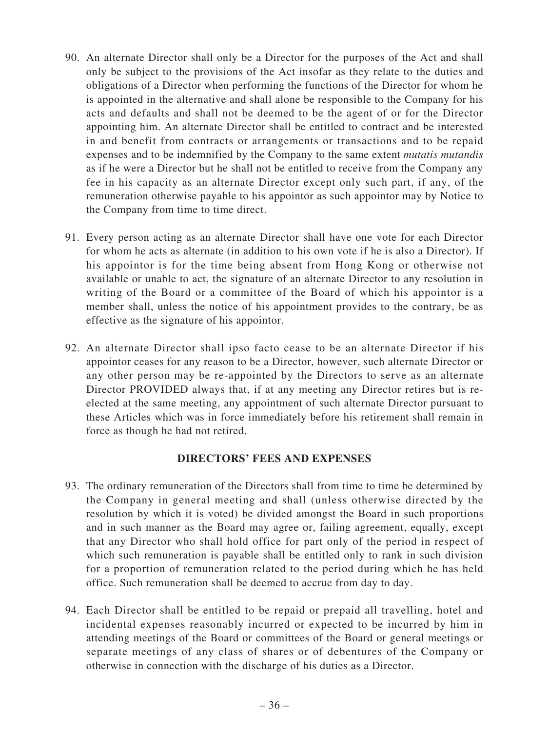- 90. An alternate Director shall only be a Director for the purposes of the Act and shall only be subject to the provisions of the Act insofar as they relate to the duties and obligations of a Director when performing the functions of the Director for whom he is appointed in the alternative and shall alone be responsible to the Company for his acts and defaults and shall not be deemed to be the agent of or for the Director appointing him. An alternate Director shall be entitled to contract and be interested in and benefit from contracts or arrangements or transactions and to be repaid expenses and to be indemnified by the Company to the same extent *mutatis mutandis* as if he were a Director but he shall not be entitled to receive from the Company any fee in his capacity as an alternate Director except only such part, if any, of the remuneration otherwise payable to his appointor as such appointor may by Notice to the Company from time to time direct.
- 91. Every person acting as an alternate Director shall have one vote for each Director for whom he acts as alternate (in addition to his own vote if he is also a Director). If his appointor is for the time being absent from Hong Kong or otherwise not available or unable to act, the signature of an alternate Director to any resolution in writing of the Board or a committee of the Board of which his appointor is a member shall, unless the notice of his appointment provides to the contrary, be as effective as the signature of his appointor.
- 92. An alternate Director shall ipso facto cease to be an alternate Director if his appointor ceases for any reason to be a Director, however, such alternate Director or any other person may be re-appointed by the Directors to serve as an alternate Director PROVIDED always that, if at any meeting any Director retires but is reelected at the same meeting, any appointment of such alternate Director pursuant to these Articles which was in force immediately before his retirement shall remain in force as though he had not retired.

## **DIRECTORS' FEES AND EXPENSES**

- 93. The ordinary remuneration of the Directors shall from time to time be determined by the Company in general meeting and shall (unless otherwise directed by the resolution by which it is voted) be divided amongst the Board in such proportions and in such manner as the Board may agree or, failing agreement, equally, except that any Director who shall hold office for part only of the period in respect of which such remuneration is payable shall be entitled only to rank in such division for a proportion of remuneration related to the period during which he has held office. Such remuneration shall be deemed to accrue from day to day.
- 94. Each Director shall be entitled to be repaid or prepaid all travelling, hotel and incidental expenses reasonably incurred or expected to be incurred by him in attending meetings of the Board or committees of the Board or general meetings or separate meetings of any class of shares or of debentures of the Company or otherwise in connection with the discharge of his duties as a Director.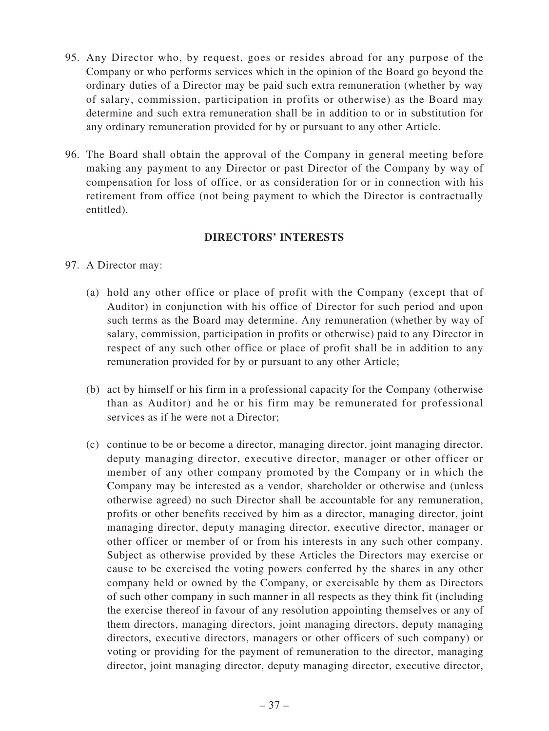- 95. Any Director who, by request, goes or resides abroad for any purpose of the Company or who performs services which in the opinion of the Board go beyond the ordinary duties of a Director may be paid such extra remuneration (whether by way of salary, commission, participation in profits or otherwise) as the Board may determine and such extra remuneration shall be in addition to or in substitution for any ordinary remuneration provided for by or pursuant to any other Article.
- 96. The Board shall obtain the approval of the Company in general meeting before making any payment to any Director or past Director of the Company by way of compensation for loss of office, or as consideration for or in connection with his retirement from office (not being payment to which the Director is contractually entitled).

## **DIRECTORS' INTERESTS**

- 97. A Director may:
	- (a) hold any other office or place of profit with the Company (except that of Auditor) in conjunction with his office of Director for such period and upon such terms as the Board may determine. Any remuneration (whether by way of salary, commission, participation in profits or otherwise) paid to any Director in respect of any such other office or place of profit shall be in addition to any remuneration provided for by or pursuant to any other Article;
	- (b) act by himself or his firm in a professional capacity for the Company (otherwise than as Auditor) and he or his firm may be remunerated for professional services as if he were not a Director;
	- (c) continue to be or become a director, managing director, joint managing director, deputy managing director, executive director, manager or other officer or member of any other company promoted by the Company or in which the Company may be interested as a vendor, shareholder or otherwise and (unless otherwise agreed) no such Director shall be accountable for any remuneration, profits or other benefits received by him as a director, managing director, joint managing director, deputy managing director, executive director, manager or other officer or member of or from his interests in any such other company. Subject as otherwise provided by these Articles the Directors may exercise or cause to be exercised the voting powers conferred by the shares in any other company held or owned by the Company, or exercisable by them as Directors of such other company in such manner in all respects as they think fit (including the exercise thereof in favour of any resolution appointing themselves or any of them directors, managing directors, joint managing directors, deputy managing directors, executive directors, managers or other officers of such company) or voting or providing for the payment of remuneration to the director, managing director, joint managing director, deputy managing director, executive director,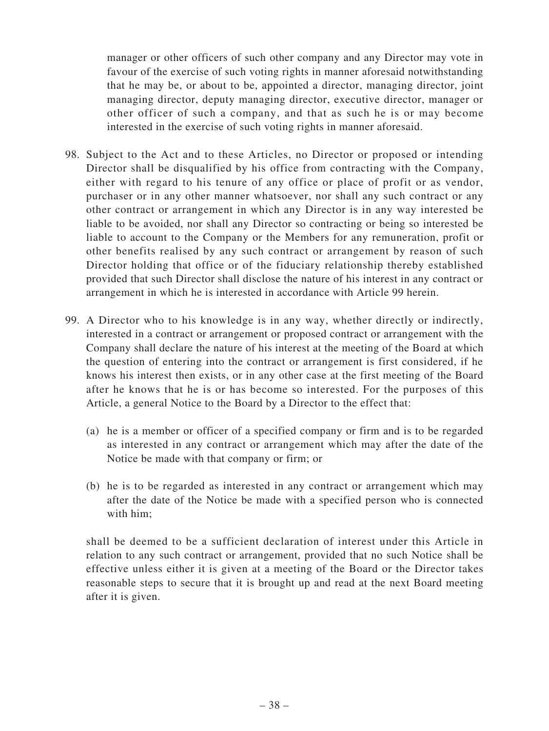manager or other officers of such other company and any Director may vote in favour of the exercise of such voting rights in manner aforesaid notwithstanding that he may be, or about to be, appointed a director, managing director, joint managing director, deputy managing director, executive director, manager or other officer of such a company, and that as such he is or may become interested in the exercise of such voting rights in manner aforesaid.

- 98. Subject to the Act and to these Articles, no Director or proposed or intending Director shall be disqualified by his office from contracting with the Company, either with regard to his tenure of any office or place of profit or as vendor, purchaser or in any other manner whatsoever, nor shall any such contract or any other contract or arrangement in which any Director is in any way interested be liable to be avoided, nor shall any Director so contracting or being so interested be liable to account to the Company or the Members for any remuneration, profit or other benefits realised by any such contract or arrangement by reason of such Director holding that office or of the fiduciary relationship thereby established provided that such Director shall disclose the nature of his interest in any contract or arrangement in which he is interested in accordance with Article 99 herein.
- 99. A Director who to his knowledge is in any way, whether directly or indirectly, interested in a contract or arrangement or proposed contract or arrangement with the Company shall declare the nature of his interest at the meeting of the Board at which the question of entering into the contract or arrangement is first considered, if he knows his interest then exists, or in any other case at the first meeting of the Board after he knows that he is or has become so interested. For the purposes of this Article, a general Notice to the Board by a Director to the effect that:
	- (a) he is a member or officer of a specified company or firm and is to be regarded as interested in any contract or arrangement which may after the date of the Notice be made with that company or firm; or
	- (b) he is to be regarded as interested in any contract or arrangement which may after the date of the Notice be made with a specified person who is connected with him;

shall be deemed to be a sufficient declaration of interest under this Article in relation to any such contract or arrangement, provided that no such Notice shall be effective unless either it is given at a meeting of the Board or the Director takes reasonable steps to secure that it is brought up and read at the next Board meeting after it is given.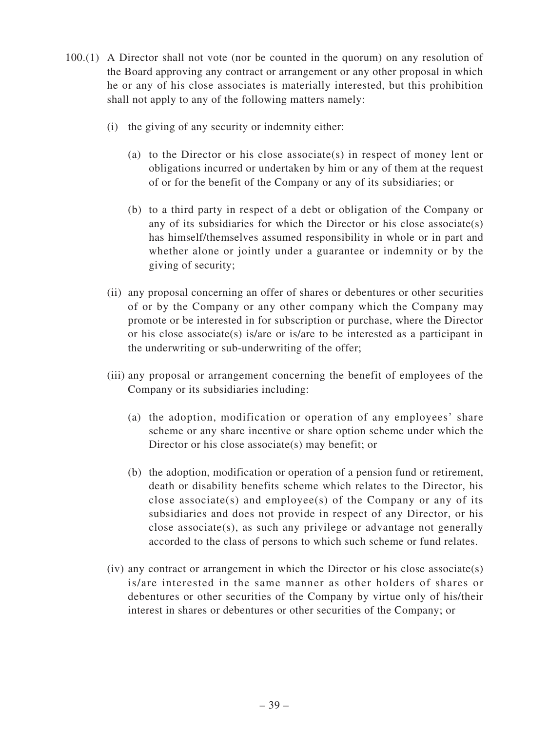- 100.(1) A Director shall not vote (nor be counted in the quorum) on any resolution of the Board approving any contract or arrangement or any other proposal in which he or any of his close associates is materially interested, but this prohibition shall not apply to any of the following matters namely:
	- (i) the giving of any security or indemnity either:
		- (a) to the Director or his close associate(s) in respect of money lent or obligations incurred or undertaken by him or any of them at the request of or for the benefit of the Company or any of its subsidiaries; or
		- (b) to a third party in respect of a debt or obligation of the Company or any of its subsidiaries for which the Director or his close associate(s) has himself/themselves assumed responsibility in whole or in part and whether alone or jointly under a guarantee or indemnity or by the giving of security;
	- (ii) any proposal concerning an offer of shares or debentures or other securities of or by the Company or any other company which the Company may promote or be interested in for subscription or purchase, where the Director or his close associate(s) is/are or is/are to be interested as a participant in the underwriting or sub-underwriting of the offer;
	- (iii) any proposal or arrangement concerning the benefit of employees of the Company or its subsidiaries including:
		- (a) the adoption, modification or operation of any employees' share scheme or any share incentive or share option scheme under which the Director or his close associate(s) may benefit; or
		- (b) the adoption, modification or operation of a pension fund or retirement, death or disability benefits scheme which relates to the Director, his close associate(s) and employee(s) of the Company or any of its subsidiaries and does not provide in respect of any Director, or his close associate(s), as such any privilege or advantage not generally accorded to the class of persons to which such scheme or fund relates.
	- (iv) any contract or arrangement in which the Director or his close associate(s) is/are interested in the same manner as other holders of shares or debentures or other securities of the Company by virtue only of his/their interest in shares or debentures or other securities of the Company; or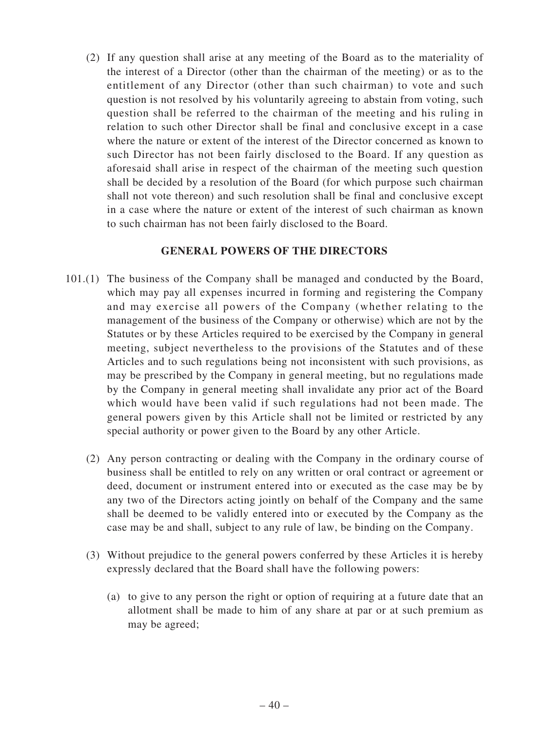(2) If any question shall arise at any meeting of the Board as to the materiality of the interest of a Director (other than the chairman of the meeting) or as to the entitlement of any Director (other than such chairman) to vote and such question is not resolved by his voluntarily agreeing to abstain from voting, such question shall be referred to the chairman of the meeting and his ruling in relation to such other Director shall be final and conclusive except in a case where the nature or extent of the interest of the Director concerned as known to such Director has not been fairly disclosed to the Board. If any question as aforesaid shall arise in respect of the chairman of the meeting such question shall be decided by a resolution of the Board (for which purpose such chairman shall not vote thereon) and such resolution shall be final and conclusive except in a case where the nature or extent of the interest of such chairman as known to such chairman has not been fairly disclosed to the Board.

#### **GENERAL POWERS OF THE DIRECTORS**

- 101.(1) The business of the Company shall be managed and conducted by the Board, which may pay all expenses incurred in forming and registering the Company and may exercise all powers of the Company (whether relating to the management of the business of the Company or otherwise) which are not by the Statutes or by these Articles required to be exercised by the Company in general meeting, subject nevertheless to the provisions of the Statutes and of these Articles and to such regulations being not inconsistent with such provisions, as may be prescribed by the Company in general meeting, but no regulations made by the Company in general meeting shall invalidate any prior act of the Board which would have been valid if such regulations had not been made. The general powers given by this Article shall not be limited or restricted by any special authority or power given to the Board by any other Article.
	- (2) Any person contracting or dealing with the Company in the ordinary course of business shall be entitled to rely on any written or oral contract or agreement or deed, document or instrument entered into or executed as the case may be by any two of the Directors acting jointly on behalf of the Company and the same shall be deemed to be validly entered into or executed by the Company as the case may be and shall, subject to any rule of law, be binding on the Company.
	- (3) Without prejudice to the general powers conferred by these Articles it is hereby expressly declared that the Board shall have the following powers:
		- (a) to give to any person the right or option of requiring at a future date that an allotment shall be made to him of any share at par or at such premium as may be agreed;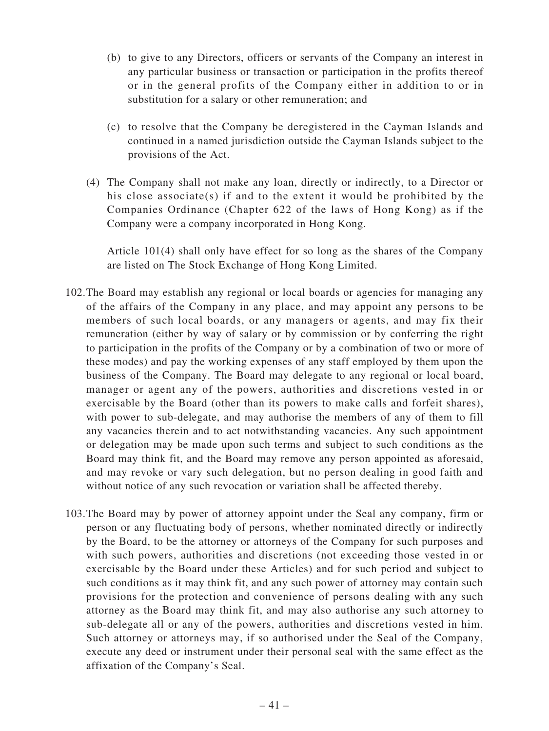- (b) to give to any Directors, officers or servants of the Company an interest in any particular business or transaction or participation in the profits thereof or in the general profits of the Company either in addition to or in substitution for a salary or other remuneration; and
- (c) to resolve that the Company be deregistered in the Cayman Islands and continued in a named jurisdiction outside the Cayman Islands subject to the provisions of the Act.
- (4) The Company shall not make any loan, directly or indirectly, to a Director or his close associate(s) if and to the extent it would be prohibited by the Companies Ordinance (Chapter 622 of the laws of Hong Kong) as if the Company were a company incorporated in Hong Kong.

Article 101(4) shall only have effect for so long as the shares of the Company are listed on The Stock Exchange of Hong Kong Limited.

- 102.The Board may establish any regional or local boards or agencies for managing any of the affairs of the Company in any place, and may appoint any persons to be members of such local boards, or any managers or agents, and may fix their remuneration (either by way of salary or by commission or by conferring the right to participation in the profits of the Company or by a combination of two or more of these modes) and pay the working expenses of any staff employed by them upon the business of the Company. The Board may delegate to any regional or local board, manager or agent any of the powers, authorities and discretions vested in or exercisable by the Board (other than its powers to make calls and forfeit shares), with power to sub-delegate, and may authorise the members of any of them to fill any vacancies therein and to act notwithstanding vacancies. Any such appointment or delegation may be made upon such terms and subject to such conditions as the Board may think fit, and the Board may remove any person appointed as aforesaid, and may revoke or vary such delegation, but no person dealing in good faith and without notice of any such revocation or variation shall be affected thereby.
- 103.The Board may by power of attorney appoint under the Seal any company, firm or person or any fluctuating body of persons, whether nominated directly or indirectly by the Board, to be the attorney or attorneys of the Company for such purposes and with such powers, authorities and discretions (not exceeding those vested in or exercisable by the Board under these Articles) and for such period and subject to such conditions as it may think fit, and any such power of attorney may contain such provisions for the protection and convenience of persons dealing with any such attorney as the Board may think fit, and may also authorise any such attorney to sub-delegate all or any of the powers, authorities and discretions vested in him. Such attorney or attorneys may, if so authorised under the Seal of the Company, execute any deed or instrument under their personal seal with the same effect as the affixation of the Company's Seal.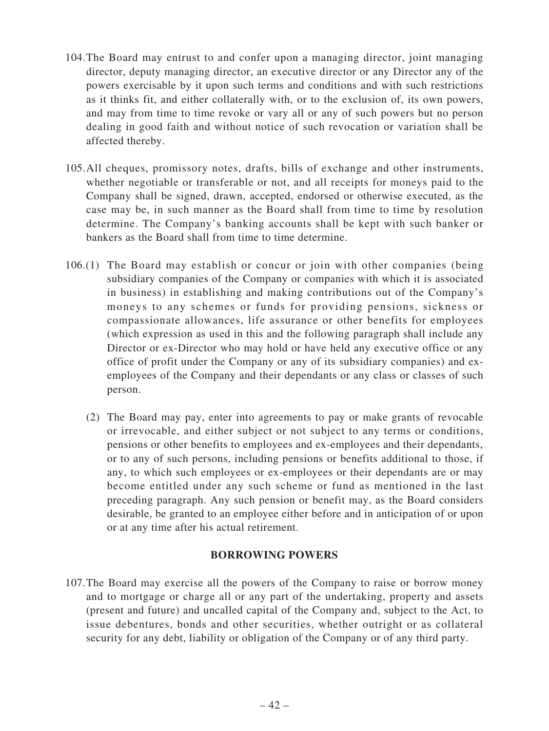- 104.The Board may entrust to and confer upon a managing director, joint managing director, deputy managing director, an executive director or any Director any of the powers exercisable by it upon such terms and conditions and with such restrictions as it thinks fit, and either collaterally with, or to the exclusion of, its own powers, and may from time to time revoke or vary all or any of such powers but no person dealing in good faith and without notice of such revocation or variation shall be affected thereby.
- 105.All cheques, promissory notes, drafts, bills of exchange and other instruments, whether negotiable or transferable or not, and all receipts for moneys paid to the Company shall be signed, drawn, accepted, endorsed or otherwise executed, as the case may be, in such manner as the Board shall from time to time by resolution determine. The Company's banking accounts shall be kept with such banker or bankers as the Board shall from time to time determine.
- 106.(1) The Board may establish or concur or join with other companies (being subsidiary companies of the Company or companies with which it is associated in business) in establishing and making contributions out of the Company's moneys to any schemes or funds for providing pensions, sickness or compassionate allowances, life assurance or other benefits for employees (which expression as used in this and the following paragraph shall include any Director or ex-Director who may hold or have held any executive office or any office of profit under the Company or any of its subsidiary companies) and exemployees of the Company and their dependants or any class or classes of such person.
	- (2) The Board may pay, enter into agreements to pay or make grants of revocable or irrevocable, and either subject or not subject to any terms or conditions, pensions or other benefits to employees and ex-employees and their dependants, or to any of such persons, including pensions or benefits additional to those, if any, to which such employees or ex-employees or their dependants are or may become entitled under any such scheme or fund as mentioned in the last preceding paragraph. Any such pension or benefit may, as the Board considers desirable, be granted to an employee either before and in anticipation of or upon or at any time after his actual retirement.

### **BORROWING POWERS**

107.The Board may exercise all the powers of the Company to raise or borrow money and to mortgage or charge all or any part of the undertaking, property and assets (present and future) and uncalled capital of the Company and, subject to the Act, to issue debentures, bonds and other securities, whether outright or as collateral security for any debt, liability or obligation of the Company or of any third party.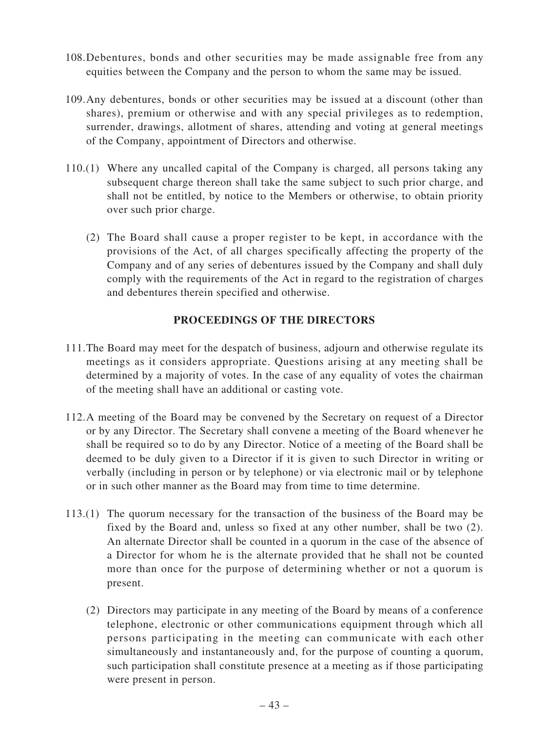- 108.Debentures, bonds and other securities may be made assignable free from any equities between the Company and the person to whom the same may be issued.
- 109.Any debentures, bonds or other securities may be issued at a discount (other than shares), premium or otherwise and with any special privileges as to redemption, surrender, drawings, allotment of shares, attending and voting at general meetings of the Company, appointment of Directors and otherwise.
- 110.(1) Where any uncalled capital of the Company is charged, all persons taking any subsequent charge thereon shall take the same subject to such prior charge, and shall not be entitled, by notice to the Members or otherwise, to obtain priority over such prior charge.
	- (2) The Board shall cause a proper register to be kept, in accordance with the provisions of the Act, of all charges specifically affecting the property of the Company and of any series of debentures issued by the Company and shall duly comply with the requirements of the Act in regard to the registration of charges and debentures therein specified and otherwise.

## **PROCEEDINGS OF THE DIRECTORS**

- 111.The Board may meet for the despatch of business, adjourn and otherwise regulate its meetings as it considers appropriate. Questions arising at any meeting shall be determined by a majority of votes. In the case of any equality of votes the chairman of the meeting shall have an additional or casting vote.
- 112.A meeting of the Board may be convened by the Secretary on request of a Director or by any Director. The Secretary shall convene a meeting of the Board whenever he shall be required so to do by any Director. Notice of a meeting of the Board shall be deemed to be duly given to a Director if it is given to such Director in writing or verbally (including in person or by telephone) or via electronic mail or by telephone or in such other manner as the Board may from time to time determine.
- 113.(1) The quorum necessary for the transaction of the business of the Board may be fixed by the Board and, unless so fixed at any other number, shall be two (2). An alternate Director shall be counted in a quorum in the case of the absence of a Director for whom he is the alternate provided that he shall not be counted more than once for the purpose of determining whether or not a quorum is present.
	- (2) Directors may participate in any meeting of the Board by means of a conference telephone, electronic or other communications equipment through which all persons participating in the meeting can communicate with each other simultaneously and instantaneously and, for the purpose of counting a quorum, such participation shall constitute presence at a meeting as if those participating were present in person.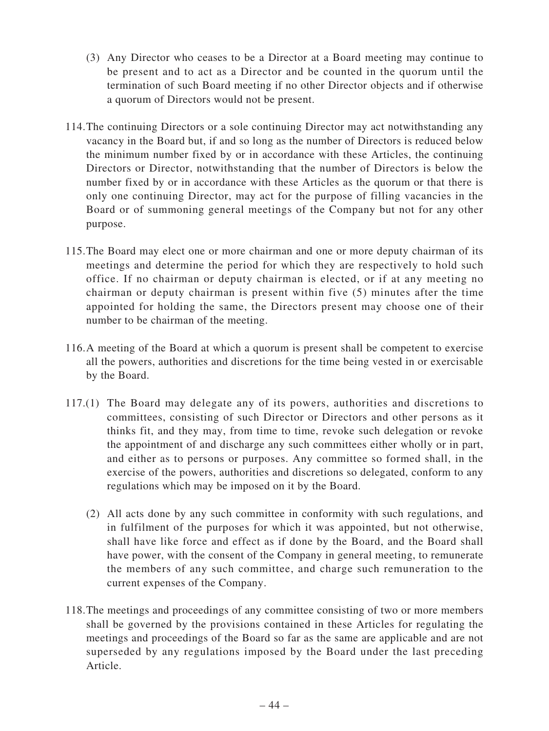- (3) Any Director who ceases to be a Director at a Board meeting may continue to be present and to act as a Director and be counted in the quorum until the termination of such Board meeting if no other Director objects and if otherwise a quorum of Directors would not be present.
- 114.The continuing Directors or a sole continuing Director may act notwithstanding any vacancy in the Board but, if and so long as the number of Directors is reduced below the minimum number fixed by or in accordance with these Articles, the continuing Directors or Director, notwithstanding that the number of Directors is below the number fixed by or in accordance with these Articles as the quorum or that there is only one continuing Director, may act for the purpose of filling vacancies in the Board or of summoning general meetings of the Company but not for any other purpose.
- 115.The Board may elect one or more chairman and one or more deputy chairman of its meetings and determine the period for which they are respectively to hold such office. If no chairman or deputy chairman is elected, or if at any meeting no chairman or deputy chairman is present within five (5) minutes after the time appointed for holding the same, the Directors present may choose one of their number to be chairman of the meeting.
- 116.A meeting of the Board at which a quorum is present shall be competent to exercise all the powers, authorities and discretions for the time being vested in or exercisable by the Board.
- 117.(1) The Board may delegate any of its powers, authorities and discretions to committees, consisting of such Director or Directors and other persons as it thinks fit, and they may, from time to time, revoke such delegation or revoke the appointment of and discharge any such committees either wholly or in part, and either as to persons or purposes. Any committee so formed shall, in the exercise of the powers, authorities and discretions so delegated, conform to any regulations which may be imposed on it by the Board.
	- (2) All acts done by any such committee in conformity with such regulations, and in fulfilment of the purposes for which it was appointed, but not otherwise, shall have like force and effect as if done by the Board, and the Board shall have power, with the consent of the Company in general meeting, to remunerate the members of any such committee, and charge such remuneration to the current expenses of the Company.
- 118.The meetings and proceedings of any committee consisting of two or more members shall be governed by the provisions contained in these Articles for regulating the meetings and proceedings of the Board so far as the same are applicable and are not superseded by any regulations imposed by the Board under the last preceding Article.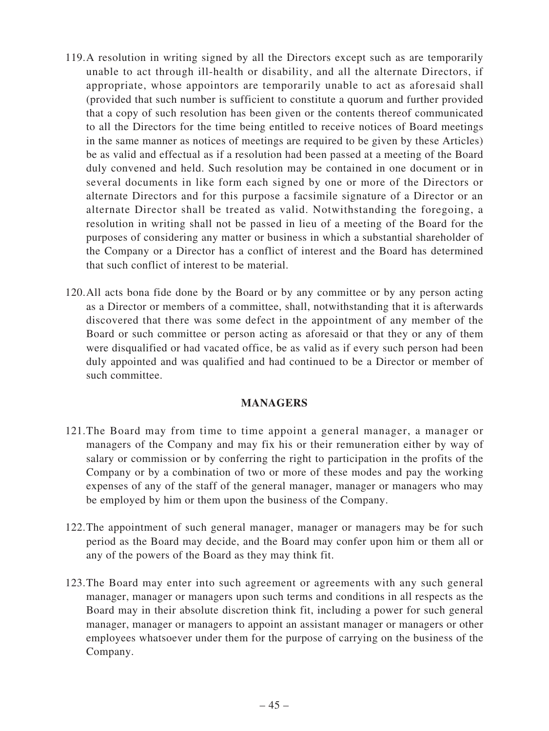- 119.A resolution in writing signed by all the Directors except such as are temporarily unable to act through ill-health or disability, and all the alternate Directors, if appropriate, whose appointors are temporarily unable to act as aforesaid shall (provided that such number is sufficient to constitute a quorum and further provided that a copy of such resolution has been given or the contents thereof communicated to all the Directors for the time being entitled to receive notices of Board meetings in the same manner as notices of meetings are required to be given by these Articles) be as valid and effectual as if a resolution had been passed at a meeting of the Board duly convened and held. Such resolution may be contained in one document or in several documents in like form each signed by one or more of the Directors or alternate Directors and for this purpose a facsimile signature of a Director or an alternate Director shall be treated as valid. Notwithstanding the foregoing, a resolution in writing shall not be passed in lieu of a meeting of the Board for the purposes of considering any matter or business in which a substantial shareholder of the Company or a Director has a conflict of interest and the Board has determined that such conflict of interest to be material.
- 120.All acts bona fide done by the Board or by any committee or by any person acting as a Director or members of a committee, shall, notwithstanding that it is afterwards discovered that there was some defect in the appointment of any member of the Board or such committee or person acting as aforesaid or that they or any of them were disqualified or had vacated office, be as valid as if every such person had been duly appointed and was qualified and had continued to be a Director or member of such committee.

#### **MANAGERS**

- 121.The Board may from time to time appoint a general manager, a manager or managers of the Company and may fix his or their remuneration either by way of salary or commission or by conferring the right to participation in the profits of the Company or by a combination of two or more of these modes and pay the working expenses of any of the staff of the general manager, manager or managers who may be employed by him or them upon the business of the Company.
- 122.The appointment of such general manager, manager or managers may be for such period as the Board may decide, and the Board may confer upon him or them all or any of the powers of the Board as they may think fit.
- 123.The Board may enter into such agreement or agreements with any such general manager, manager or managers upon such terms and conditions in all respects as the Board may in their absolute discretion think fit, including a power for such general manager, manager or managers to appoint an assistant manager or managers or other employees whatsoever under them for the purpose of carrying on the business of the Company.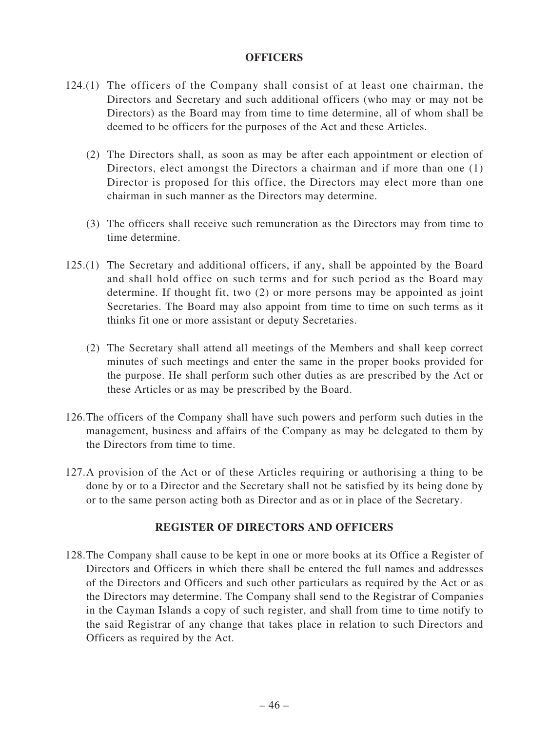#### **OFFICERS**

- 124.(1) The officers of the Company shall consist of at least one chairman, the Directors and Secretary and such additional officers (who may or may not be Directors) as the Board may from time to time determine, all of whom shall be deemed to be officers for the purposes of the Act and these Articles.
	- (2) The Directors shall, as soon as may be after each appointment or election of Directors, elect amongst the Directors a chairman and if more than one (1) Director is proposed for this office, the Directors may elect more than one chairman in such manner as the Directors may determine.
	- (3) The officers shall receive such remuneration as the Directors may from time to time determine.
- 125.(1) The Secretary and additional officers, if any, shall be appointed by the Board and shall hold office on such terms and for such period as the Board may determine. If thought fit, two (2) or more persons may be appointed as joint Secretaries. The Board may also appoint from time to time on such terms as it thinks fit one or more assistant or deputy Secretaries.
	- (2) The Secretary shall attend all meetings of the Members and shall keep correct minutes of such meetings and enter the same in the proper books provided for the purpose. He shall perform such other duties as are prescribed by the Act or these Articles or as may be prescribed by the Board.
- 126.The officers of the Company shall have such powers and perform such duties in the management, business and affairs of the Company as may be delegated to them by the Directors from time to time.
- 127.A provision of the Act or of these Articles requiring or authorising a thing to be done by or to a Director and the Secretary shall not be satisfied by its being done by or to the same person acting both as Director and as or in place of the Secretary.

## **REGISTER OF DIRECTORS AND OFFICERS**

128.The Company shall cause to be kept in one or more books at its Office a Register of Directors and Officers in which there shall be entered the full names and addresses of the Directors and Officers and such other particulars as required by the Act or as the Directors may determine. The Company shall send to the Registrar of Companies in the Cayman Islands a copy of such register, and shall from time to time notify to the said Registrar of any change that takes place in relation to such Directors and Officers as required by the Act.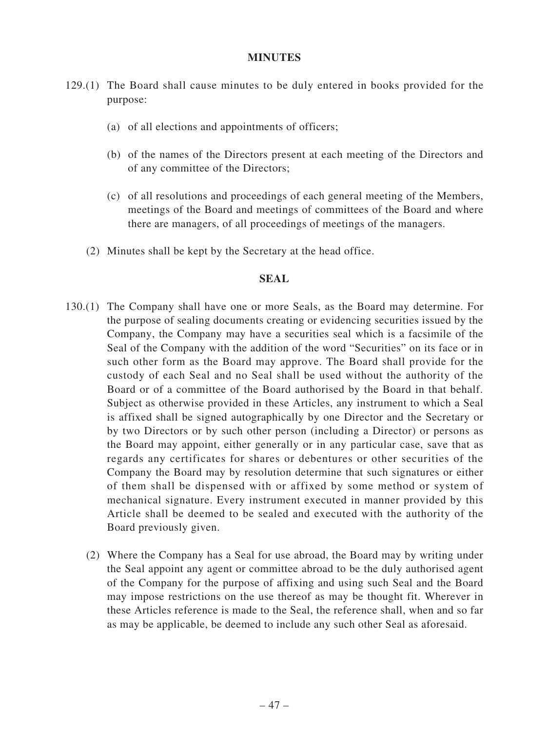#### **MINUTES**

- 129.(1) The Board shall cause minutes to be duly entered in books provided for the purpose:
	- (a) of all elections and appointments of officers;
	- (b) of the names of the Directors present at each meeting of the Directors and of any committee of the Directors;
	- (c) of all resolutions and proceedings of each general meeting of the Members, meetings of the Board and meetings of committees of the Board and where there are managers, of all proceedings of meetings of the managers.
	- (2) Minutes shall be kept by the Secretary at the head office.

#### **SEAL**

- 130.(1) The Company shall have one or more Seals, as the Board may determine. For the purpose of sealing documents creating or evidencing securities issued by the Company, the Company may have a securities seal which is a facsimile of the Seal of the Company with the addition of the word "Securities" on its face or in such other form as the Board may approve. The Board shall provide for the custody of each Seal and no Seal shall be used without the authority of the Board or of a committee of the Board authorised by the Board in that behalf. Subject as otherwise provided in these Articles, any instrument to which a Seal is affixed shall be signed autographically by one Director and the Secretary or by two Directors or by such other person (including a Director) or persons as the Board may appoint, either generally or in any particular case, save that as regards any certificates for shares or debentures or other securities of the Company the Board may by resolution determine that such signatures or either of them shall be dispensed with or affixed by some method or system of mechanical signature. Every instrument executed in manner provided by this Article shall be deemed to be sealed and executed with the authority of the Board previously given.
	- (2) Where the Company has a Seal for use abroad, the Board may by writing under the Seal appoint any agent or committee abroad to be the duly authorised agent of the Company for the purpose of affixing and using such Seal and the Board may impose restrictions on the use thereof as may be thought fit. Wherever in these Articles reference is made to the Seal, the reference shall, when and so far as may be applicable, be deemed to include any such other Seal as aforesaid.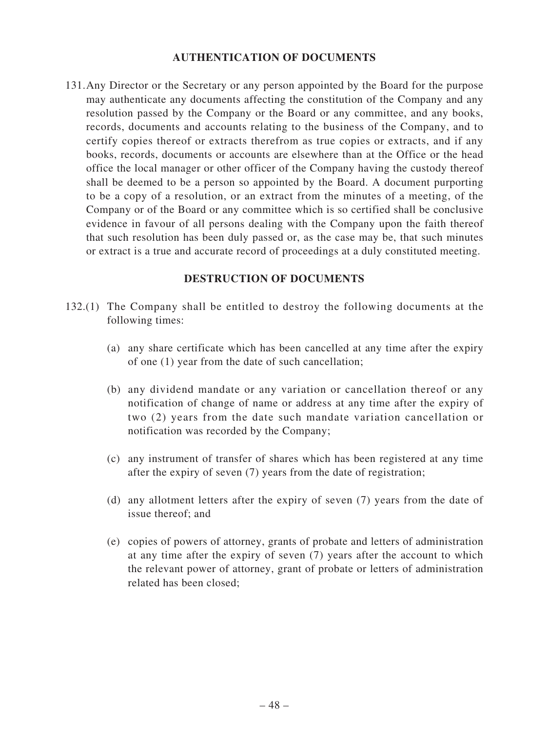#### **AUTHENTICATION OF DOCUMENTS**

131.Any Director or the Secretary or any person appointed by the Board for the purpose may authenticate any documents affecting the constitution of the Company and any resolution passed by the Company or the Board or any committee, and any books, records, documents and accounts relating to the business of the Company, and to certify copies thereof or extracts therefrom as true copies or extracts, and if any books, records, documents or accounts are elsewhere than at the Office or the head office the local manager or other officer of the Company having the custody thereof shall be deemed to be a person so appointed by the Board. A document purporting to be a copy of a resolution, or an extract from the minutes of a meeting, of the Company or of the Board or any committee which is so certified shall be conclusive evidence in favour of all persons dealing with the Company upon the faith thereof that such resolution has been duly passed or, as the case may be, that such minutes or extract is a true and accurate record of proceedings at a duly constituted meeting.

#### **DESTRUCTION OF DOCUMENTS**

- 132.(1) The Company shall be entitled to destroy the following documents at the following times:
	- (a) any share certificate which has been cancelled at any time after the expiry of one (1) year from the date of such cancellation;
	- (b) any dividend mandate or any variation or cancellation thereof or any notification of change of name or address at any time after the expiry of two (2) years from the date such mandate variation cancellation or notification was recorded by the Company;
	- (c) any instrument of transfer of shares which has been registered at any time after the expiry of seven (7) years from the date of registration;
	- (d) any allotment letters after the expiry of seven (7) years from the date of issue thereof; and
	- (e) copies of powers of attorney, grants of probate and letters of administration at any time after the expiry of seven (7) years after the account to which the relevant power of attorney, grant of probate or letters of administration related has been closed;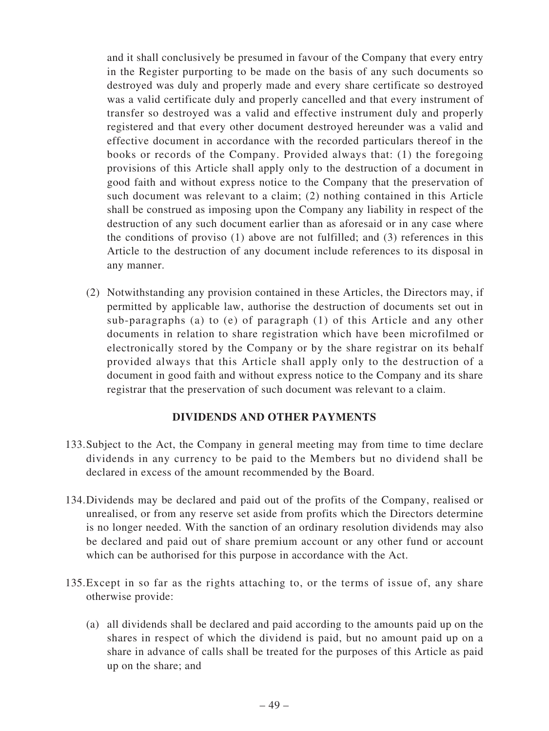and it shall conclusively be presumed in favour of the Company that every entry in the Register purporting to be made on the basis of any such documents so destroyed was duly and properly made and every share certificate so destroyed was a valid certificate duly and properly cancelled and that every instrument of transfer so destroyed was a valid and effective instrument duly and properly registered and that every other document destroyed hereunder was a valid and effective document in accordance with the recorded particulars thereof in the books or records of the Company. Provided always that: (1) the foregoing provisions of this Article shall apply only to the destruction of a document in good faith and without express notice to the Company that the preservation of such document was relevant to a claim; (2) nothing contained in this Article shall be construed as imposing upon the Company any liability in respect of the destruction of any such document earlier than as aforesaid or in any case where the conditions of proviso (1) above are not fulfilled; and (3) references in this Article to the destruction of any document include references to its disposal in any manner.

(2) Notwithstanding any provision contained in these Articles, the Directors may, if permitted by applicable law, authorise the destruction of documents set out in sub-paragraphs (a) to (e) of paragraph (1) of this Article and any other documents in relation to share registration which have been microfilmed or electronically stored by the Company or by the share registrar on its behalf provided always that this Article shall apply only to the destruction of a document in good faith and without express notice to the Company and its share registrar that the preservation of such document was relevant to a claim.

## **DIVIDENDS AND OTHER PAYMENTS**

- 133.Subject to the Act, the Company in general meeting may from time to time declare dividends in any currency to be paid to the Members but no dividend shall be declared in excess of the amount recommended by the Board.
- 134.Dividends may be declared and paid out of the profits of the Company, realised or unrealised, or from any reserve set aside from profits which the Directors determine is no longer needed. With the sanction of an ordinary resolution dividends may also be declared and paid out of share premium account or any other fund or account which can be authorised for this purpose in accordance with the Act.
- 135.Except in so far as the rights attaching to, or the terms of issue of, any share otherwise provide:
	- (a) all dividends shall be declared and paid according to the amounts paid up on the shares in respect of which the dividend is paid, but no amount paid up on a share in advance of calls shall be treated for the purposes of this Article as paid up on the share; and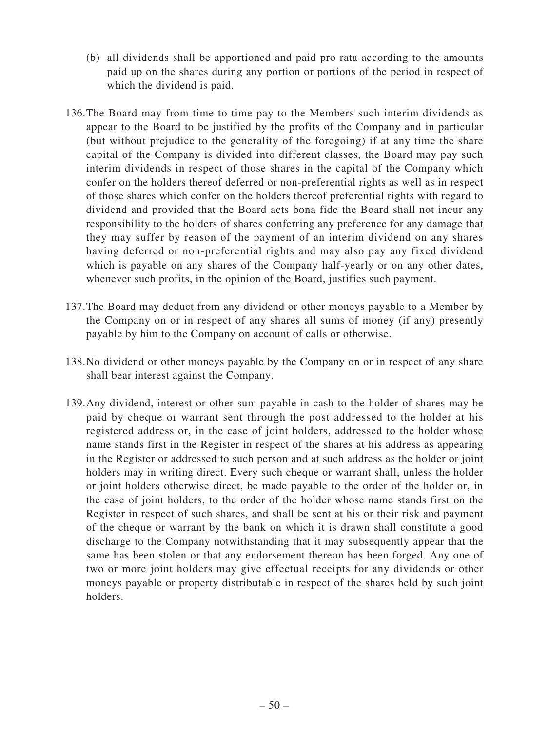- (b) all dividends shall be apportioned and paid pro rata according to the amounts paid up on the shares during any portion or portions of the period in respect of which the dividend is paid.
- 136.The Board may from time to time pay to the Members such interim dividends as appear to the Board to be justified by the profits of the Company and in particular (but without prejudice to the generality of the foregoing) if at any time the share capital of the Company is divided into different classes, the Board may pay such interim dividends in respect of those shares in the capital of the Company which confer on the holders thereof deferred or non-preferential rights as well as in respect of those shares which confer on the holders thereof preferential rights with regard to dividend and provided that the Board acts bona fide the Board shall not incur any responsibility to the holders of shares conferring any preference for any damage that they may suffer by reason of the payment of an interim dividend on any shares having deferred or non-preferential rights and may also pay any fixed dividend which is payable on any shares of the Company half-yearly or on any other dates, whenever such profits, in the opinion of the Board, justifies such payment.
- 137.The Board may deduct from any dividend or other moneys payable to a Member by the Company on or in respect of any shares all sums of money (if any) presently payable by him to the Company on account of calls or otherwise.
- 138.No dividend or other moneys payable by the Company on or in respect of any share shall bear interest against the Company.
- 139.Any dividend, interest or other sum payable in cash to the holder of shares may be paid by cheque or warrant sent through the post addressed to the holder at his registered address or, in the case of joint holders, addressed to the holder whose name stands first in the Register in respect of the shares at his address as appearing in the Register or addressed to such person and at such address as the holder or joint holders may in writing direct. Every such cheque or warrant shall, unless the holder or joint holders otherwise direct, be made payable to the order of the holder or, in the case of joint holders, to the order of the holder whose name stands first on the Register in respect of such shares, and shall be sent at his or their risk and payment of the cheque or warrant by the bank on which it is drawn shall constitute a good discharge to the Company notwithstanding that it may subsequently appear that the same has been stolen or that any endorsement thereon has been forged. Any one of two or more joint holders may give effectual receipts for any dividends or other moneys payable or property distributable in respect of the shares held by such joint holders.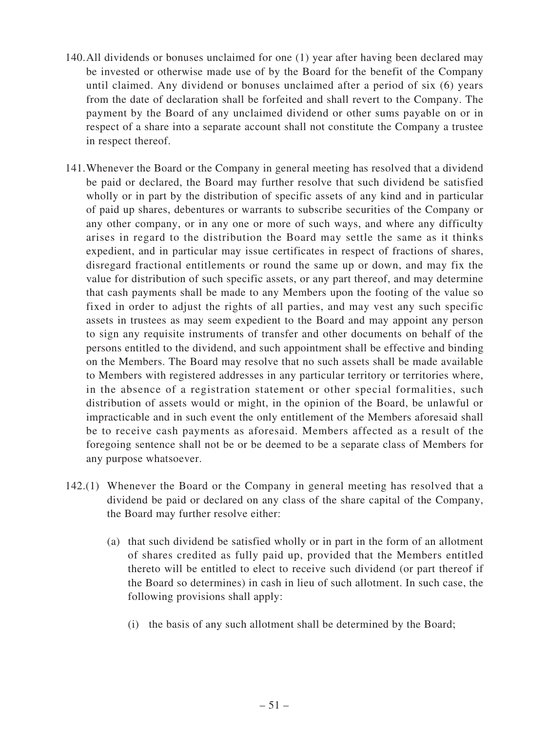- 140.All dividends or bonuses unclaimed for one (1) year after having been declared may be invested or otherwise made use of by the Board for the benefit of the Company until claimed. Any dividend or bonuses unclaimed after a period of six (6) years from the date of declaration shall be forfeited and shall revert to the Company. The payment by the Board of any unclaimed dividend or other sums payable on or in respect of a share into a separate account shall not constitute the Company a trustee in respect thereof.
- 141.Whenever the Board or the Company in general meeting has resolved that a dividend be paid or declared, the Board may further resolve that such dividend be satisfied wholly or in part by the distribution of specific assets of any kind and in particular of paid up shares, debentures or warrants to subscribe securities of the Company or any other company, or in any one or more of such ways, and where any difficulty arises in regard to the distribution the Board may settle the same as it thinks expedient, and in particular may issue certificates in respect of fractions of shares, disregard fractional entitlements or round the same up or down, and may fix the value for distribution of such specific assets, or any part thereof, and may determine that cash payments shall be made to any Members upon the footing of the value so fixed in order to adjust the rights of all parties, and may vest any such specific assets in trustees as may seem expedient to the Board and may appoint any person to sign any requisite instruments of transfer and other documents on behalf of the persons entitled to the dividend, and such appointment shall be effective and binding on the Members. The Board may resolve that no such assets shall be made available to Members with registered addresses in any particular territory or territories where, in the absence of a registration statement or other special formalities, such distribution of assets would or might, in the opinion of the Board, be unlawful or impracticable and in such event the only entitlement of the Members aforesaid shall be to receive cash payments as aforesaid. Members affected as a result of the foregoing sentence shall not be or be deemed to be a separate class of Members for any purpose whatsoever.
- 142.(1) Whenever the Board or the Company in general meeting has resolved that a dividend be paid or declared on any class of the share capital of the Company, the Board may further resolve either:
	- (a) that such dividend be satisfied wholly or in part in the form of an allotment of shares credited as fully paid up, provided that the Members entitled thereto will be entitled to elect to receive such dividend (or part thereof if the Board so determines) in cash in lieu of such allotment. In such case, the following provisions shall apply:
		- (i) the basis of any such allotment shall be determined by the Board;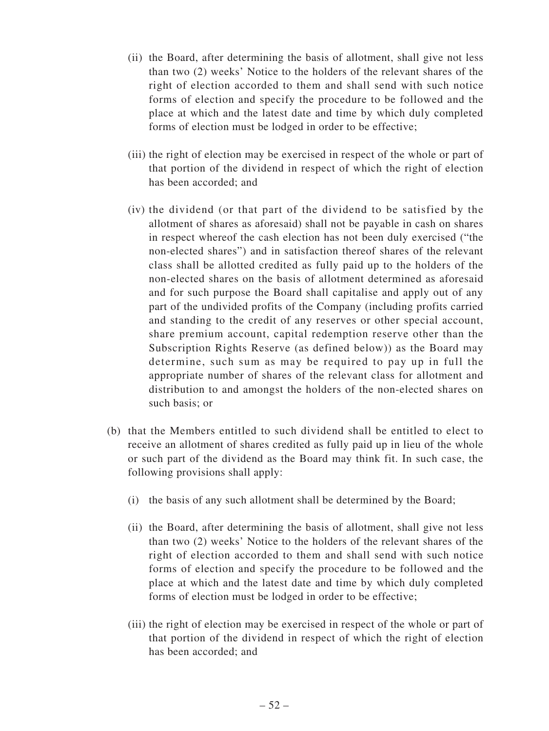- (ii) the Board, after determining the basis of allotment, shall give not less than two (2) weeks' Notice to the holders of the relevant shares of the right of election accorded to them and shall send with such notice forms of election and specify the procedure to be followed and the place at which and the latest date and time by which duly completed forms of election must be lodged in order to be effective;
- (iii) the right of election may be exercised in respect of the whole or part of that portion of the dividend in respect of which the right of election has been accorded; and
- (iv) the dividend (or that part of the dividend to be satisfied by the allotment of shares as aforesaid) shall not be payable in cash on shares in respect whereof the cash election has not been duly exercised ("the non-elected shares") and in satisfaction thereof shares of the relevant class shall be allotted credited as fully paid up to the holders of the non-elected shares on the basis of allotment determined as aforesaid and for such purpose the Board shall capitalise and apply out of any part of the undivided profits of the Company (including profits carried and standing to the credit of any reserves or other special account, share premium account, capital redemption reserve other than the Subscription Rights Reserve (as defined below)) as the Board may determine, such sum as may be required to pay up in full the appropriate number of shares of the relevant class for allotment and distribution to and amongst the holders of the non-elected shares on such basis; or
- (b) that the Members entitled to such dividend shall be entitled to elect to receive an allotment of shares credited as fully paid up in lieu of the whole or such part of the dividend as the Board may think fit. In such case, the following provisions shall apply:
	- (i) the basis of any such allotment shall be determined by the Board;
	- (ii) the Board, after determining the basis of allotment, shall give not less than two (2) weeks' Notice to the holders of the relevant shares of the right of election accorded to them and shall send with such notice forms of election and specify the procedure to be followed and the place at which and the latest date and time by which duly completed forms of election must be lodged in order to be effective;
	- (iii) the right of election may be exercised in respect of the whole or part of that portion of the dividend in respect of which the right of election has been accorded; and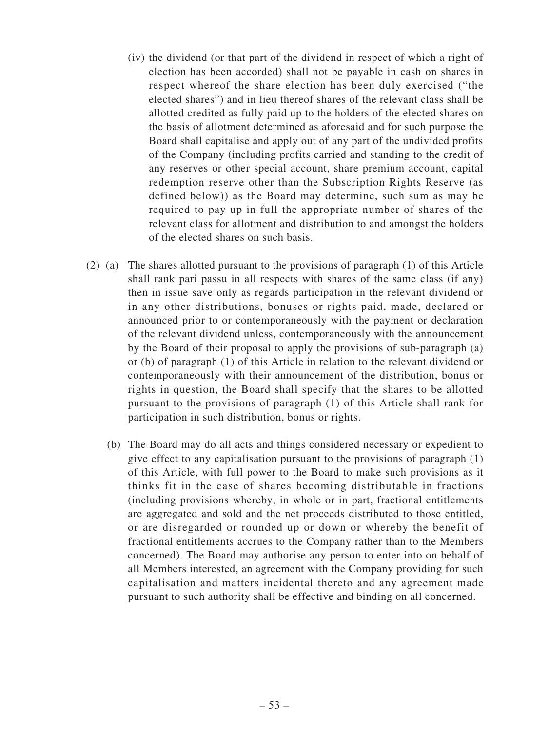- (iv) the dividend (or that part of the dividend in respect of which a right of election has been accorded) shall not be payable in cash on shares in respect whereof the share election has been duly exercised ("the elected shares") and in lieu thereof shares of the relevant class shall be allotted credited as fully paid up to the holders of the elected shares on the basis of allotment determined as aforesaid and for such purpose the Board shall capitalise and apply out of any part of the undivided profits of the Company (including profits carried and standing to the credit of any reserves or other special account, share premium account, capital redemption reserve other than the Subscription Rights Reserve (as defined below)) as the Board may determine, such sum as may be required to pay up in full the appropriate number of shares of the relevant class for allotment and distribution to and amongst the holders of the elected shares on such basis.
- (2) (a) The shares allotted pursuant to the provisions of paragraph (1) of this Article shall rank pari passu in all respects with shares of the same class (if any) then in issue save only as regards participation in the relevant dividend or in any other distributions, bonuses or rights paid, made, declared or announced prior to or contemporaneously with the payment or declaration of the relevant dividend unless, contemporaneously with the announcement by the Board of their proposal to apply the provisions of sub-paragraph (a) or (b) of paragraph (1) of this Article in relation to the relevant dividend or contemporaneously with their announcement of the distribution, bonus or rights in question, the Board shall specify that the shares to be allotted pursuant to the provisions of paragraph (1) of this Article shall rank for participation in such distribution, bonus or rights.
	- (b) The Board may do all acts and things considered necessary or expedient to give effect to any capitalisation pursuant to the provisions of paragraph (1) of this Article, with full power to the Board to make such provisions as it thinks fit in the case of shares becoming distributable in fractions (including provisions whereby, in whole or in part, fractional entitlements are aggregated and sold and the net proceeds distributed to those entitled, or are disregarded or rounded up or down or whereby the benefit of fractional entitlements accrues to the Company rather than to the Members concerned). The Board may authorise any person to enter into on behalf of all Members interested, an agreement with the Company providing for such capitalisation and matters incidental thereto and any agreement made pursuant to such authority shall be effective and binding on all concerned.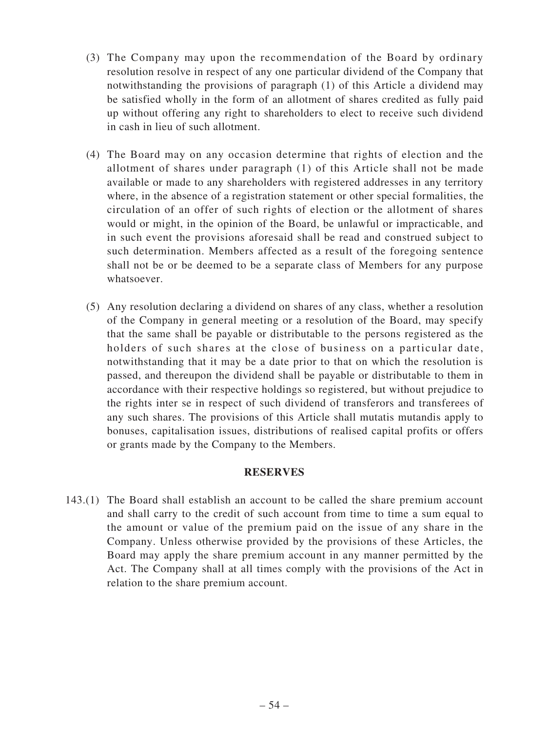- (3) The Company may upon the recommendation of the Board by ordinary resolution resolve in respect of any one particular dividend of the Company that notwithstanding the provisions of paragraph (1) of this Article a dividend may be satisfied wholly in the form of an allotment of shares credited as fully paid up without offering any right to shareholders to elect to receive such dividend in cash in lieu of such allotment.
- (4) The Board may on any occasion determine that rights of election and the allotment of shares under paragraph (1) of this Article shall not be made available or made to any shareholders with registered addresses in any territory where, in the absence of a registration statement or other special formalities, the circulation of an offer of such rights of election or the allotment of shares would or might, in the opinion of the Board, be unlawful or impracticable, and in such event the provisions aforesaid shall be read and construed subject to such determination. Members affected as a result of the foregoing sentence shall not be or be deemed to be a separate class of Members for any purpose whatsoever.
- (5) Any resolution declaring a dividend on shares of any class, whether a resolution of the Company in general meeting or a resolution of the Board, may specify that the same shall be payable or distributable to the persons registered as the holders of such shares at the close of business on a particular date, notwithstanding that it may be a date prior to that on which the resolution is passed, and thereupon the dividend shall be payable or distributable to them in accordance with their respective holdings so registered, but without prejudice to the rights inter se in respect of such dividend of transferors and transferees of any such shares. The provisions of this Article shall mutatis mutandis apply to bonuses, capitalisation issues, distributions of realised capital profits or offers or grants made by the Company to the Members.

#### **RESERVES**

143.(1) The Board shall establish an account to be called the share premium account and shall carry to the credit of such account from time to time a sum equal to the amount or value of the premium paid on the issue of any share in the Company. Unless otherwise provided by the provisions of these Articles, the Board may apply the share premium account in any manner permitted by the Act. The Company shall at all times comply with the provisions of the Act in relation to the share premium account.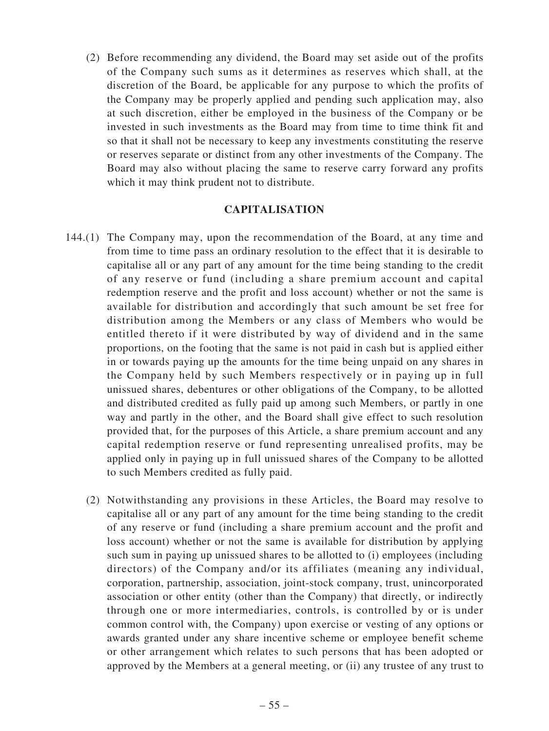(2) Before recommending any dividend, the Board may set aside out of the profits of the Company such sums as it determines as reserves which shall, at the discretion of the Board, be applicable for any purpose to which the profits of the Company may be properly applied and pending such application may, also at such discretion, either be employed in the business of the Company or be invested in such investments as the Board may from time to time think fit and so that it shall not be necessary to keep any investments constituting the reserve or reserves separate or distinct from any other investments of the Company. The Board may also without placing the same to reserve carry forward any profits which it may think prudent not to distribute.

#### **CAPITALISATION**

- 144.(1) The Company may, upon the recommendation of the Board, at any time and from time to time pass an ordinary resolution to the effect that it is desirable to capitalise all or any part of any amount for the time being standing to the credit of any reserve or fund (including a share premium account and capital redemption reserve and the profit and loss account) whether or not the same is available for distribution and accordingly that such amount be set free for distribution among the Members or any class of Members who would be entitled thereto if it were distributed by way of dividend and in the same proportions, on the footing that the same is not paid in cash but is applied either in or towards paying up the amounts for the time being unpaid on any shares in the Company held by such Members respectively or in paying up in full unissued shares, debentures or other obligations of the Company, to be allotted and distributed credited as fully paid up among such Members, or partly in one way and partly in the other, and the Board shall give effect to such resolution provided that, for the purposes of this Article, a share premium account and any capital redemption reserve or fund representing unrealised profits, may be applied only in paying up in full unissued shares of the Company to be allotted to such Members credited as fully paid.
	- (2) Notwithstanding any provisions in these Articles, the Board may resolve to capitalise all or any part of any amount for the time being standing to the credit of any reserve or fund (including a share premium account and the profit and loss account) whether or not the same is available for distribution by applying such sum in paying up unissued shares to be allotted to (i) employees (including directors) of the Company and/or its affiliates (meaning any individual, corporation, partnership, association, joint-stock company, trust, unincorporated association or other entity (other than the Company) that directly, or indirectly through one or more intermediaries, controls, is controlled by or is under common control with, the Company) upon exercise or vesting of any options or awards granted under any share incentive scheme or employee benefit scheme or other arrangement which relates to such persons that has been adopted or approved by the Members at a general meeting, or (ii) any trustee of any trust to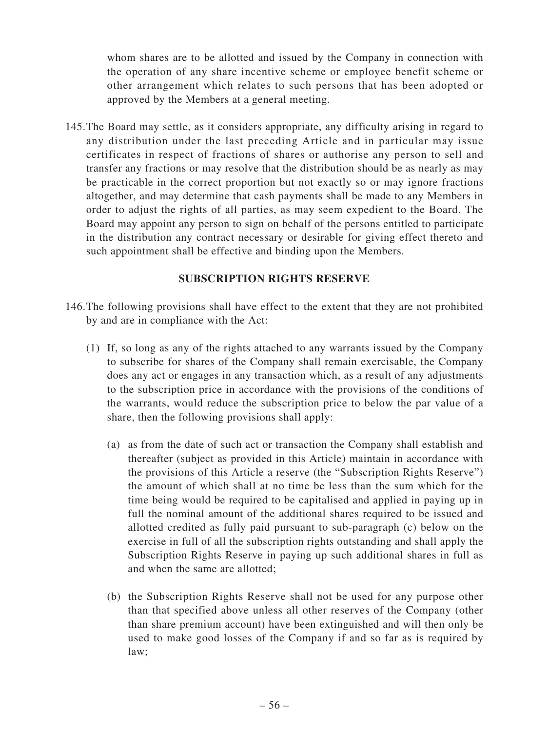whom shares are to be allotted and issued by the Company in connection with the operation of any share incentive scheme or employee benefit scheme or other arrangement which relates to such persons that has been adopted or approved by the Members at a general meeting.

145.The Board may settle, as it considers appropriate, any difficulty arising in regard to any distribution under the last preceding Article and in particular may issue certificates in respect of fractions of shares or authorise any person to sell and transfer any fractions or may resolve that the distribution should be as nearly as may be practicable in the correct proportion but not exactly so or may ignore fractions altogether, and may determine that cash payments shall be made to any Members in order to adjust the rights of all parties, as may seem expedient to the Board. The Board may appoint any person to sign on behalf of the persons entitled to participate in the distribution any contract necessary or desirable for giving effect thereto and such appointment shall be effective and binding upon the Members.

## **SUBSCRIPTION RIGHTS RESERVE**

- 146.The following provisions shall have effect to the extent that they are not prohibited by and are in compliance with the Act:
	- (1) If, so long as any of the rights attached to any warrants issued by the Company to subscribe for shares of the Company shall remain exercisable, the Company does any act or engages in any transaction which, as a result of any adjustments to the subscription price in accordance with the provisions of the conditions of the warrants, would reduce the subscription price to below the par value of a share, then the following provisions shall apply:
		- (a) as from the date of such act or transaction the Company shall establish and thereafter (subject as provided in this Article) maintain in accordance with the provisions of this Article a reserve (the "Subscription Rights Reserve") the amount of which shall at no time be less than the sum which for the time being would be required to be capitalised and applied in paying up in full the nominal amount of the additional shares required to be issued and allotted credited as fully paid pursuant to sub-paragraph (c) below on the exercise in full of all the subscription rights outstanding and shall apply the Subscription Rights Reserve in paying up such additional shares in full as and when the same are allotted;
		- (b) the Subscription Rights Reserve shall not be used for any purpose other than that specified above unless all other reserves of the Company (other than share premium account) have been extinguished and will then only be used to make good losses of the Company if and so far as is required by law;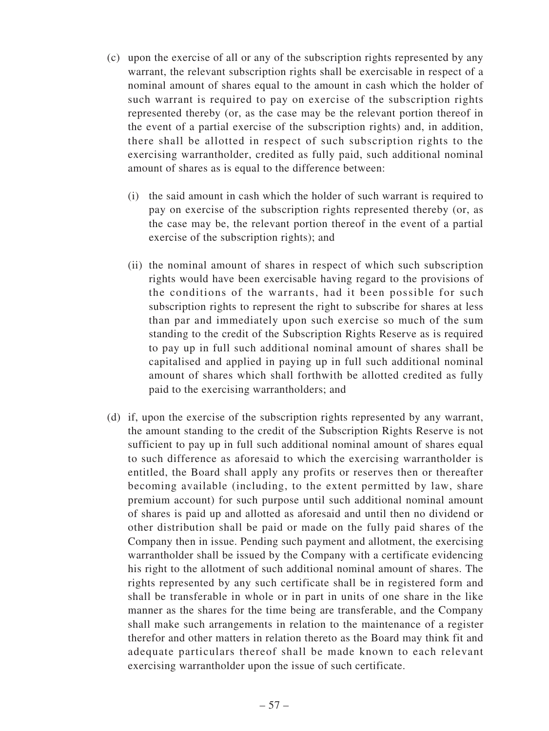- (c) upon the exercise of all or any of the subscription rights represented by any warrant, the relevant subscription rights shall be exercisable in respect of a nominal amount of shares equal to the amount in cash which the holder of such warrant is required to pay on exercise of the subscription rights represented thereby (or, as the case may be the relevant portion thereof in the event of a partial exercise of the subscription rights) and, in addition, there shall be allotted in respect of such subscription rights to the exercising warrantholder, credited as fully paid, such additional nominal amount of shares as is equal to the difference between:
	- (i) the said amount in cash which the holder of such warrant is required to pay on exercise of the subscription rights represented thereby (or, as the case may be, the relevant portion thereof in the event of a partial exercise of the subscription rights); and
	- (ii) the nominal amount of shares in respect of which such subscription rights would have been exercisable having regard to the provisions of the conditions of the warrants, had it been possible for such subscription rights to represent the right to subscribe for shares at less than par and immediately upon such exercise so much of the sum standing to the credit of the Subscription Rights Reserve as is required to pay up in full such additional nominal amount of shares shall be capitalised and applied in paying up in full such additional nominal amount of shares which shall forthwith be allotted credited as fully paid to the exercising warrantholders; and
- (d) if, upon the exercise of the subscription rights represented by any warrant, the amount standing to the credit of the Subscription Rights Reserve is not sufficient to pay up in full such additional nominal amount of shares equal to such difference as aforesaid to which the exercising warrantholder is entitled, the Board shall apply any profits or reserves then or thereafter becoming available (including, to the extent permitted by law, share premium account) for such purpose until such additional nominal amount of shares is paid up and allotted as aforesaid and until then no dividend or other distribution shall be paid or made on the fully paid shares of the Company then in issue. Pending such payment and allotment, the exercising warrantholder shall be issued by the Company with a certificate evidencing his right to the allotment of such additional nominal amount of shares. The rights represented by any such certificate shall be in registered form and shall be transferable in whole or in part in units of one share in the like manner as the shares for the time being are transferable, and the Company shall make such arrangements in relation to the maintenance of a register therefor and other matters in relation thereto as the Board may think fit and adequate particulars thereof shall be made known to each relevant exercising warrantholder upon the issue of such certificate.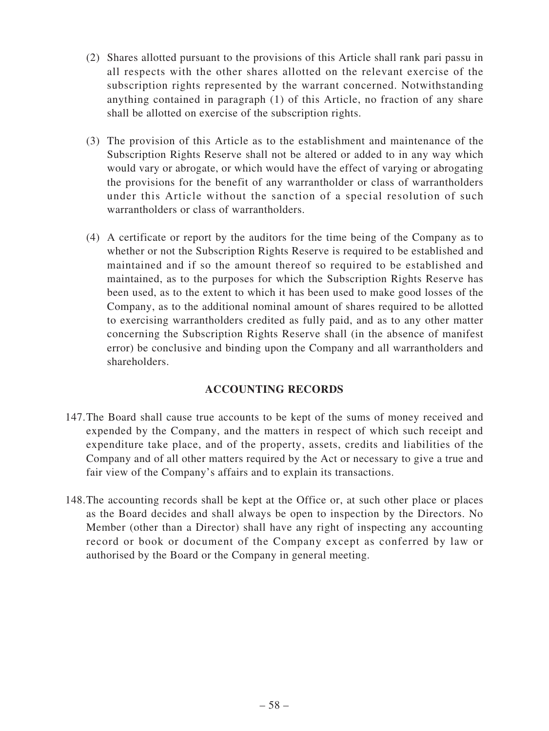- (2) Shares allotted pursuant to the provisions of this Article shall rank pari passu in all respects with the other shares allotted on the relevant exercise of the subscription rights represented by the warrant concerned. Notwithstanding anything contained in paragraph (1) of this Article, no fraction of any share shall be allotted on exercise of the subscription rights.
- (3) The provision of this Article as to the establishment and maintenance of the Subscription Rights Reserve shall not be altered or added to in any way which would vary or abrogate, or which would have the effect of varying or abrogating the provisions for the benefit of any warrantholder or class of warrantholders under this Article without the sanction of a special resolution of such warrantholders or class of warrantholders.
- (4) A certificate or report by the auditors for the time being of the Company as to whether or not the Subscription Rights Reserve is required to be established and maintained and if so the amount thereof so required to be established and maintained, as to the purposes for which the Subscription Rights Reserve has been used, as to the extent to which it has been used to make good losses of the Company, as to the additional nominal amount of shares required to be allotted to exercising warrantholders credited as fully paid, and as to any other matter concerning the Subscription Rights Reserve shall (in the absence of manifest error) be conclusive and binding upon the Company and all warrantholders and shareholders.

## **ACCOUNTING RECORDS**

- 147.The Board shall cause true accounts to be kept of the sums of money received and expended by the Company, and the matters in respect of which such receipt and expenditure take place, and of the property, assets, credits and liabilities of the Company and of all other matters required by the Act or necessary to give a true and fair view of the Company's affairs and to explain its transactions.
- 148.The accounting records shall be kept at the Office or, at such other place or places as the Board decides and shall always be open to inspection by the Directors. No Member (other than a Director) shall have any right of inspecting any accounting record or book or document of the Company except as conferred by law or authorised by the Board or the Company in general meeting.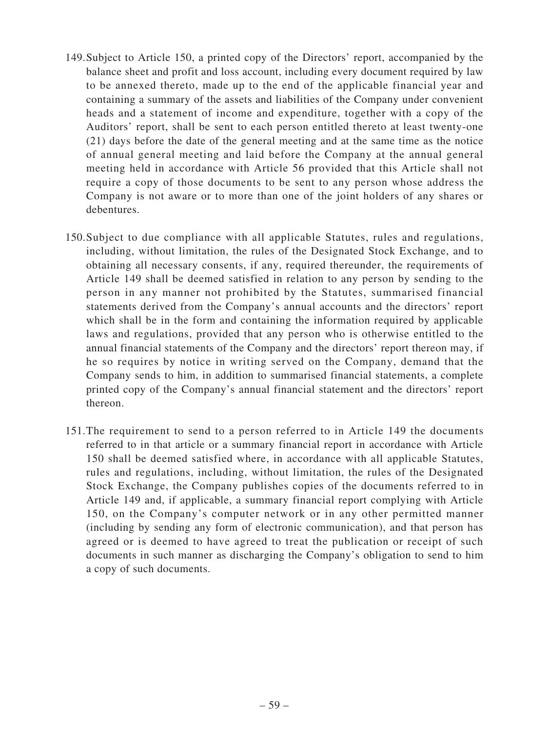- 149.Subject to Article 150, a printed copy of the Directors' report, accompanied by the balance sheet and profit and loss account, including every document required by law to be annexed thereto, made up to the end of the applicable financial year and containing a summary of the assets and liabilities of the Company under convenient heads and a statement of income and expenditure, together with a copy of the Auditors' report, shall be sent to each person entitled thereto at least twenty-one (21) days before the date of the general meeting and at the same time as the notice of annual general meeting and laid before the Company at the annual general meeting held in accordance with Article 56 provided that this Article shall not require a copy of those documents to be sent to any person whose address the Company is not aware or to more than one of the joint holders of any shares or debentures.
- 150.Subject to due compliance with all applicable Statutes, rules and regulations, including, without limitation, the rules of the Designated Stock Exchange, and to obtaining all necessary consents, if any, required thereunder, the requirements of Article 149 shall be deemed satisfied in relation to any person by sending to the person in any manner not prohibited by the Statutes, summarised financial statements derived from the Company's annual accounts and the directors' report which shall be in the form and containing the information required by applicable laws and regulations, provided that any person who is otherwise entitled to the annual financial statements of the Company and the directors' report thereon may, if he so requires by notice in writing served on the Company, demand that the Company sends to him, in addition to summarised financial statements, a complete printed copy of the Company's annual financial statement and the directors' report thereon.
- 151.The requirement to send to a person referred to in Article 149 the documents referred to in that article or a summary financial report in accordance with Article 150 shall be deemed satisfied where, in accordance with all applicable Statutes, rules and regulations, including, without limitation, the rules of the Designated Stock Exchange, the Company publishes copies of the documents referred to in Article 149 and, if applicable, a summary financial report complying with Article 150, on the Company's computer network or in any other permitted manner (including by sending any form of electronic communication), and that person has agreed or is deemed to have agreed to treat the publication or receipt of such documents in such manner as discharging the Company's obligation to send to him a copy of such documents.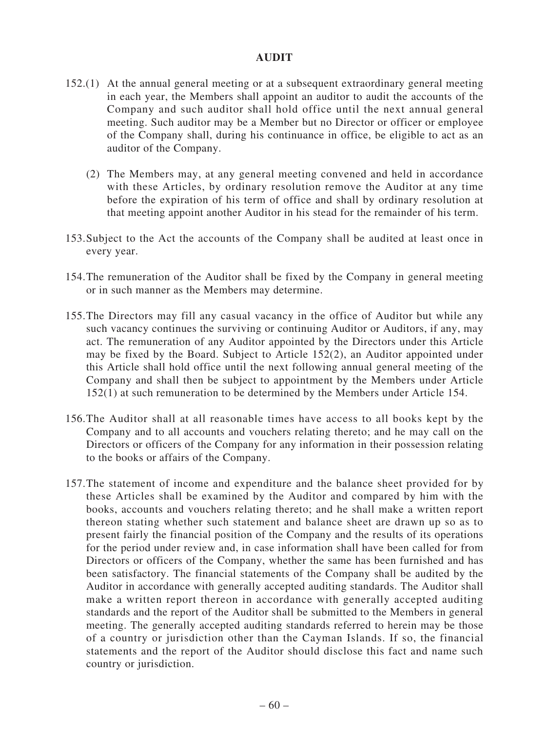#### **AUDIT**

- 152.(1) At the annual general meeting or at a subsequent extraordinary general meeting in each year, the Members shall appoint an auditor to audit the accounts of the Company and such auditor shall hold office until the next annual general meeting. Such auditor may be a Member but no Director or officer or employee of the Company shall, during his continuance in office, be eligible to act as an auditor of the Company.
	- (2) The Members may, at any general meeting convened and held in accordance with these Articles, by ordinary resolution remove the Auditor at any time before the expiration of his term of office and shall by ordinary resolution at that meeting appoint another Auditor in his stead for the remainder of his term.
- 153.Subject to the Act the accounts of the Company shall be audited at least once in every year.
- 154.The remuneration of the Auditor shall be fixed by the Company in general meeting or in such manner as the Members may determine.
- 155.The Directors may fill any casual vacancy in the office of Auditor but while any such vacancy continues the surviving or continuing Auditor or Auditors, if any, may act. The remuneration of any Auditor appointed by the Directors under this Article may be fixed by the Board. Subject to Article 152(2), an Auditor appointed under this Article shall hold office until the next following annual general meeting of the Company and shall then be subject to appointment by the Members under Article 152(1) at such remuneration to be determined by the Members under Article 154.
- 156.The Auditor shall at all reasonable times have access to all books kept by the Company and to all accounts and vouchers relating thereto; and he may call on the Directors or officers of the Company for any information in their possession relating to the books or affairs of the Company.
- 157.The statement of income and expenditure and the balance sheet provided for by these Articles shall be examined by the Auditor and compared by him with the books, accounts and vouchers relating thereto; and he shall make a written report thereon stating whether such statement and balance sheet are drawn up so as to present fairly the financial position of the Company and the results of its operations for the period under review and, in case information shall have been called for from Directors or officers of the Company, whether the same has been furnished and has been satisfactory. The financial statements of the Company shall be audited by the Auditor in accordance with generally accepted auditing standards. The Auditor shall make a written report thereon in accordance with generally accepted auditing standards and the report of the Auditor shall be submitted to the Members in general meeting. The generally accepted auditing standards referred to herein may be those of a country or jurisdiction other than the Cayman Islands. If so, the financial statements and the report of the Auditor should disclose this fact and name such country or jurisdiction.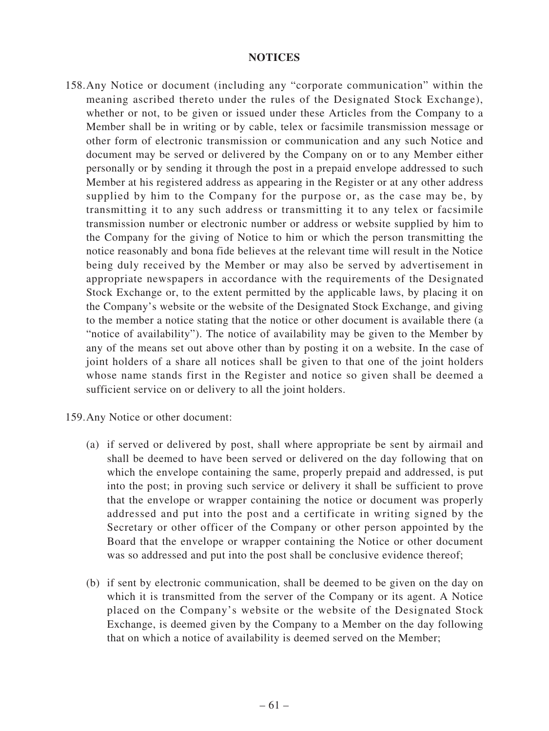#### **NOTICES**

158.Any Notice or document (including any "corporate communication" within the meaning ascribed thereto under the rules of the Designated Stock Exchange), whether or not, to be given or issued under these Articles from the Company to a Member shall be in writing or by cable, telex or facsimile transmission message or other form of electronic transmission or communication and any such Notice and document may be served or delivered by the Company on or to any Member either personally or by sending it through the post in a prepaid envelope addressed to such Member at his registered address as appearing in the Register or at any other address supplied by him to the Company for the purpose or, as the case may be, by transmitting it to any such address or transmitting it to any telex or facsimile transmission number or electronic number or address or website supplied by him to the Company for the giving of Notice to him or which the person transmitting the notice reasonably and bona fide believes at the relevant time will result in the Notice being duly received by the Member or may also be served by advertisement in appropriate newspapers in accordance with the requirements of the Designated Stock Exchange or, to the extent permitted by the applicable laws, by placing it on the Company's website or the website of the Designated Stock Exchange, and giving to the member a notice stating that the notice or other document is available there (a "notice of availability"). The notice of availability may be given to the Member by any of the means set out above other than by posting it on a website. In the case of joint holders of a share all notices shall be given to that one of the joint holders whose name stands first in the Register and notice so given shall be deemed a sufficient service on or delivery to all the joint holders.

159.Any Notice or other document:

- (a) if served or delivered by post, shall where appropriate be sent by airmail and shall be deemed to have been served or delivered on the day following that on which the envelope containing the same, properly prepaid and addressed, is put into the post; in proving such service or delivery it shall be sufficient to prove that the envelope or wrapper containing the notice or document was properly addressed and put into the post and a certificate in writing signed by the Secretary or other officer of the Company or other person appointed by the Board that the envelope or wrapper containing the Notice or other document was so addressed and put into the post shall be conclusive evidence thereof;
- (b) if sent by electronic communication, shall be deemed to be given on the day on which it is transmitted from the server of the Company or its agent. A Notice placed on the Company's website or the website of the Designated Stock Exchange, is deemed given by the Company to a Member on the day following that on which a notice of availability is deemed served on the Member;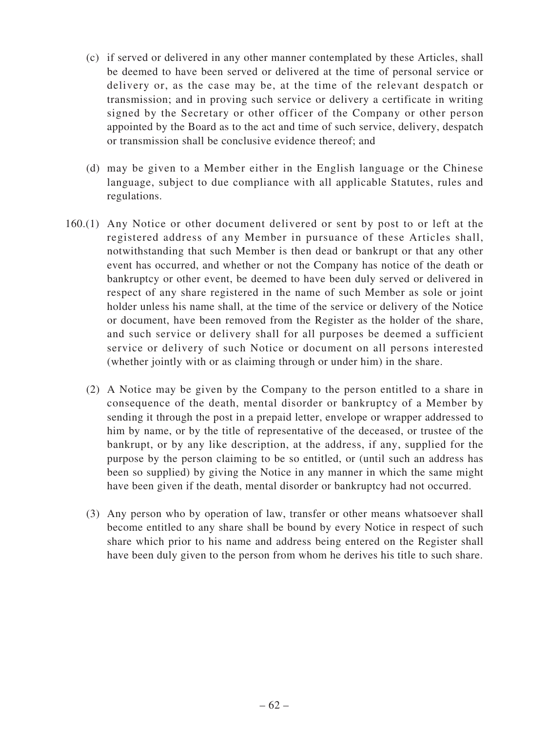- (c) if served or delivered in any other manner contemplated by these Articles, shall be deemed to have been served or delivered at the time of personal service or delivery or, as the case may be, at the time of the relevant despatch or transmission; and in proving such service or delivery a certificate in writing signed by the Secretary or other officer of the Company or other person appointed by the Board as to the act and time of such service, delivery, despatch or transmission shall be conclusive evidence thereof; and
- (d) may be given to a Member either in the English language or the Chinese language, subject to due compliance with all applicable Statutes, rules and regulations.
- 160.(1) Any Notice or other document delivered or sent by post to or left at the registered address of any Member in pursuance of these Articles shall, notwithstanding that such Member is then dead or bankrupt or that any other event has occurred, and whether or not the Company has notice of the death or bankruptcy or other event, be deemed to have been duly served or delivered in respect of any share registered in the name of such Member as sole or joint holder unless his name shall, at the time of the service or delivery of the Notice or document, have been removed from the Register as the holder of the share, and such service or delivery shall for all purposes be deemed a sufficient service or delivery of such Notice or document on all persons interested (whether jointly with or as claiming through or under him) in the share.
	- (2) A Notice may be given by the Company to the person entitled to a share in consequence of the death, mental disorder or bankruptcy of a Member by sending it through the post in a prepaid letter, envelope or wrapper addressed to him by name, or by the title of representative of the deceased, or trustee of the bankrupt, or by any like description, at the address, if any, supplied for the purpose by the person claiming to be so entitled, or (until such an address has been so supplied) by giving the Notice in any manner in which the same might have been given if the death, mental disorder or bankruptcy had not occurred.
	- (3) Any person who by operation of law, transfer or other means whatsoever shall become entitled to any share shall be bound by every Notice in respect of such share which prior to his name and address being entered on the Register shall have been duly given to the person from whom he derives his title to such share.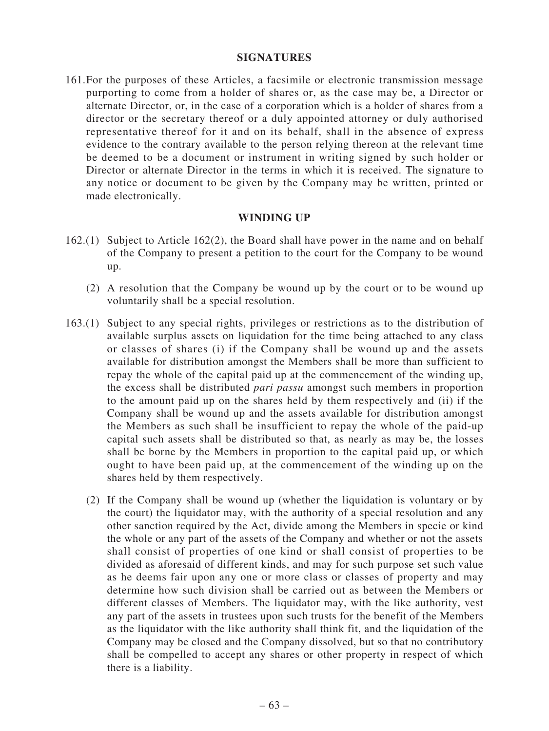#### **SIGNATURES**

161.For the purposes of these Articles, a facsimile or electronic transmission message purporting to come from a holder of shares or, as the case may be, a Director or alternate Director, or, in the case of a corporation which is a holder of shares from a director or the secretary thereof or a duly appointed attorney or duly authorised representative thereof for it and on its behalf, shall in the absence of express evidence to the contrary available to the person relying thereon at the relevant time be deemed to be a document or instrument in writing signed by such holder or Director or alternate Director in the terms in which it is received. The signature to any notice or document to be given by the Company may be written, printed or made electronically.

#### **WINDING UP**

- 162.(1) Subject to Article 162(2), the Board shall have power in the name and on behalf of the Company to present a petition to the court for the Company to be wound up.
	- (2) A resolution that the Company be wound up by the court or to be wound up voluntarily shall be a special resolution.
- 163.(1) Subject to any special rights, privileges or restrictions as to the distribution of available surplus assets on liquidation for the time being attached to any class or classes of shares (i) if the Company shall be wound up and the assets available for distribution amongst the Members shall be more than sufficient to repay the whole of the capital paid up at the commencement of the winding up, the excess shall be distributed *pari passu* amongst such members in proportion to the amount paid up on the shares held by them respectively and (ii) if the Company shall be wound up and the assets available for distribution amongst the Members as such shall be insufficient to repay the whole of the paid-up capital such assets shall be distributed so that, as nearly as may be, the losses shall be borne by the Members in proportion to the capital paid up, or which ought to have been paid up, at the commencement of the winding up on the shares held by them respectively.
	- (2) If the Company shall be wound up (whether the liquidation is voluntary or by the court) the liquidator may, with the authority of a special resolution and any other sanction required by the Act, divide among the Members in specie or kind the whole or any part of the assets of the Company and whether or not the assets shall consist of properties of one kind or shall consist of properties to be divided as aforesaid of different kinds, and may for such purpose set such value as he deems fair upon any one or more class or classes of property and may determine how such division shall be carried out as between the Members or different classes of Members. The liquidator may, with the like authority, vest any part of the assets in trustees upon such trusts for the benefit of the Members as the liquidator with the like authority shall think fit, and the liquidation of the Company may be closed and the Company dissolved, but so that no contributory shall be compelled to accept any shares or other property in respect of which there is a liability.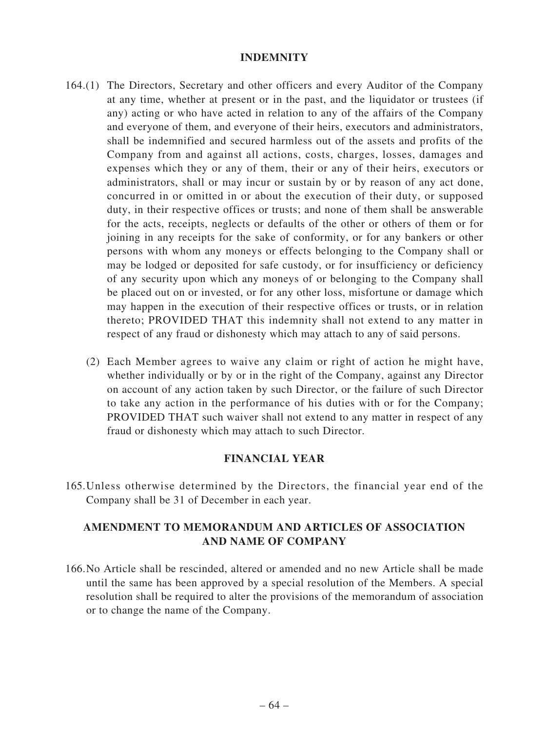#### **INDEMNITY**

- 164.(1) The Directors, Secretary and other officers and every Auditor of the Company at any time, whether at present or in the past, and the liquidator or trustees (if any) acting or who have acted in relation to any of the affairs of the Company and everyone of them, and everyone of their heirs, executors and administrators, shall be indemnified and secured harmless out of the assets and profits of the Company from and against all actions, costs, charges, losses, damages and expenses which they or any of them, their or any of their heirs, executors or administrators, shall or may incur or sustain by or by reason of any act done, concurred in or omitted in or about the execution of their duty, or supposed duty, in their respective offices or trusts; and none of them shall be answerable for the acts, receipts, neglects or defaults of the other or others of them or for joining in any receipts for the sake of conformity, or for any bankers or other persons with whom any moneys or effects belonging to the Company shall or may be lodged or deposited for safe custody, or for insufficiency or deficiency of any security upon which any moneys of or belonging to the Company shall be placed out on or invested, or for any other loss, misfortune or damage which may happen in the execution of their respective offices or trusts, or in relation thereto; PROVIDED THAT this indemnity shall not extend to any matter in respect of any fraud or dishonesty which may attach to any of said persons.
	- (2) Each Member agrees to waive any claim or right of action he might have, whether individually or by or in the right of the Company, against any Director on account of any action taken by such Director, or the failure of such Director to take any action in the performance of his duties with or for the Company; PROVIDED THAT such waiver shall not extend to any matter in respect of any fraud or dishonesty which may attach to such Director.

## **FINANCIAL YEAR**

165.Unless otherwise determined by the Directors, the financial year end of the Company shall be 31 of December in each year.

## **AMENDMENT TO MEMORANDUM AND ARTICLES OF ASSOCIATION AND NAME OF COMPANY**

166.No Article shall be rescinded, altered or amended and no new Article shall be made until the same has been approved by a special resolution of the Members. A special resolution shall be required to alter the provisions of the memorandum of association or to change the name of the Company.